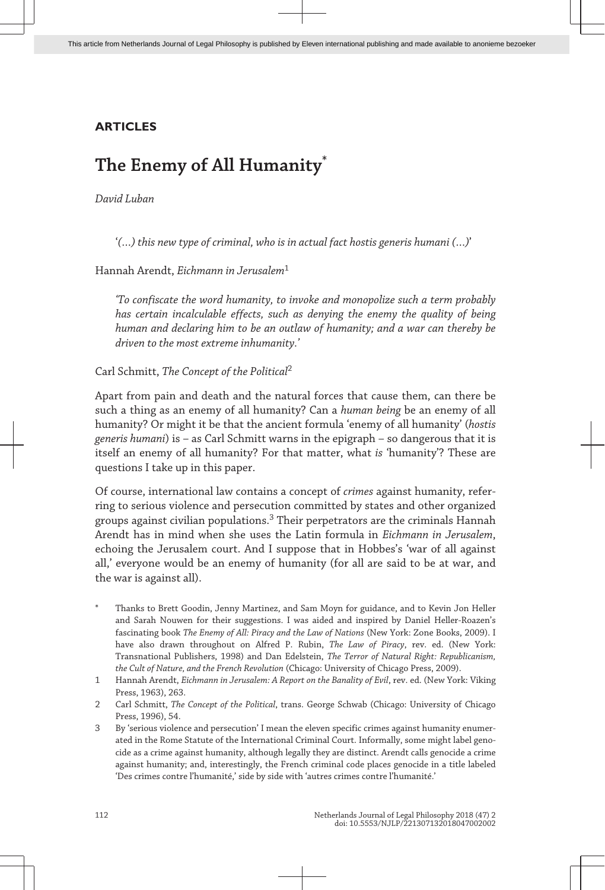## **ARTICLES**

# **The Enemy of All Humanity\***

*David Luban*

'*(…) this new type of criminal, who is in actual fact hostis generis humani (…)*'

Hannah Arendt, *Eichmann in Jerusalem*<sup>1</sup>

*'To confiscate the word humanity, to invoke and monopolize such a term probably has certain incalculable effects, such as denying the enemy the quality of being human and declaring him to be an outlaw of humanity; and a war can thereby be driven to the most extreme inhumanity.'*

Carl Schmitt, *The Concept of the Political*<sup>2</sup>

Apart from pain and death and the natural forces that cause them, can there be such a thing as an enemy of all humanity? Can a *human being* be an enemy of all humanity? Or might it be that the ancient formula 'enemy of all humanity' (*hostis generis humani*) is – as Carl Schmitt warns in the epigraph – so dangerous that it is itself an enemy of all humanity? For that matter, what *is* 'humanity'? These are questions I take up in this paper.

Of course, international law contains a concept of *crimes* against humanity, referring to serious violence and persecution committed by states and other organized groups against civilian populations. $^3$  Their perpetrators are the criminals Hannah Arendt has in mind when she uses the Latin formula in *Eichmann in Jerusalem*, echoing the Jerusalem court. And I suppose that in Hobbes's 'war of all against all,' everyone would be an enemy of humanity (for all are said to be at war, and the war is against all).

- Thanks to Brett Goodin, Jenny Martinez, and Sam Moyn for guidance, and to Kevin Jon Heller and Sarah Nouwen for their suggestions. I was aided and inspired by Daniel Heller-Roazen's fascinating book *The Enemy of All: Piracy and the Law of Nations* (New York: Zone Books, 2009). I have also drawn throughout on Alfred P. Rubin, *The Law of Piracy*, rev. ed. (New York: Transnational Publishers, 1998) and Dan Edelstein, *The Terror of Natural Right: Republicanism, the Cult of Nature, and the French Revolution* (Chicago: University of Chicago Press, 2009).
- 1 Hannah Arendt, *Eichmann in Jerusalem: A Report on the Banality of Evil*, rev. ed. (New York: Viking Press, 1963), 263.
- 2 Carl Schmitt, *The Concept of the Political*, trans. George Schwab (Chicago: University of Chicago Press, 1996), 54.
- 3 By 'serious violence and persecution' I mean the eleven specific crimes against humanity enumerated in the Rome Statute of the International Criminal Court. Informally, some might label genocide as a crime against humanity, although legally they are distinct. Arendt calls genocide a crime against humanity; and, interestingly, the French criminal code places genocide in a title labeled 'Des crimes contre l'humanité,' side by side with 'autres crimes contre l'humanité.'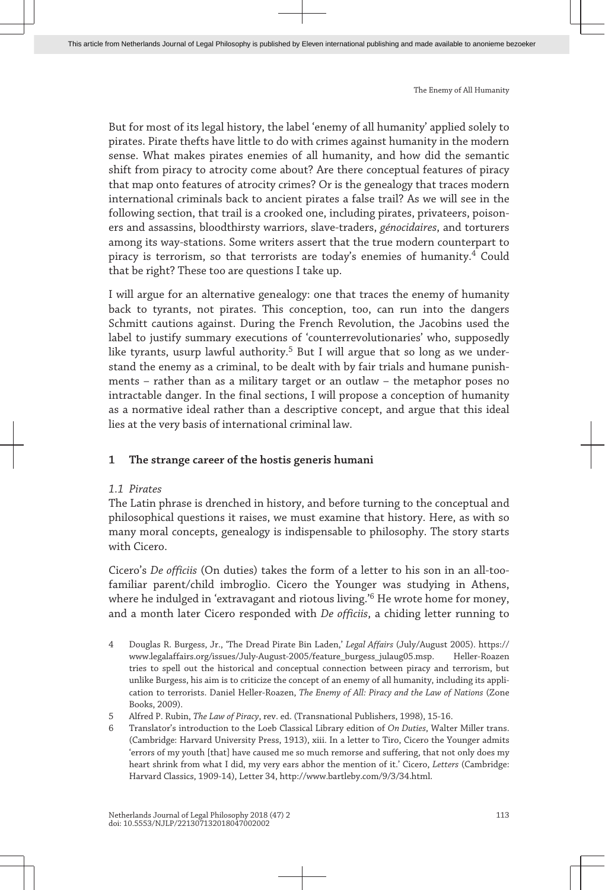But for most of its legal history, the label 'enemy of all humanity' applied solely to pirates. Pirate thefts have little to do with crimes against humanity in the modern sense. What makes pirates enemies of all humanity, and how did the semantic shift from piracy to atrocity come about? Are there conceptual features of piracy that map onto features of atrocity crimes? Or is the genealogy that traces modern international criminals back to ancient pirates a false trail? As we will see in the following section, that trail is a crooked one, including pirates, privateers, poisoners and assassins, bloodthirsty warriors, slave-traders, *génocidaires*, and torturers among its way-stations. Some writers assert that the true modern counterpart to piracy is terrorism, so that terrorists are today's enemies of humanity. $^4$  Could that be right? These too are questions I take up.

I will argue for an alternative genealogy: one that traces the enemy of humanity back to tyrants, not pirates. This conception, too, can run into the dangers Schmitt cautions against. During the French Revolution, the Jacobins used the label to justify summary executions of 'counterrevolutionaries' who, supposedly like tyrants, usurp lawful authority. $^5$  But I will argue that so long as we understand the enemy as a criminal, to be dealt with by fair trials and humane punishments – rather than as a military target or an outlaw – the metaphor poses no intractable danger. In the final sections, I will propose a conception of humanity as a normative ideal rather than a descriptive concept, and argue that this ideal lies at the very basis of international criminal law.

## **1 The strange career of the hostis generis humani**

#### *1.1 Pirates*

The Latin phrase is drenched in history, and before turning to the conceptual and philosophical questions it raises, we must examine that history. Here, as with so many moral concepts, genealogy is indispensable to philosophy. The story starts with Cicero.

Cicero's *De officiis* (On duties) takes the form of a letter to his son in an all-toofamiliar parent/child imbroglio. Cicero the Younger was studying in Athens, where he indulged in 'extravagant and riotous living.'<sup>6</sup> He wrote home for money, and a month later Cicero responded with *De officiis*, a chiding letter running to

- 4 Douglas R. Burgess, Jr., 'The Dread Pirate Bin Laden,' *Legal Affairs* (July/August 2005). [https://](https://www.legalaffairs.org/issues/July-August-2005/feature_burgess_julaug05.msp) www.legalaffairs.org/issues/July-August-2005/feature\_burgess\_julaug05.msp. Heller-Roazen tries to spell out the historical and conceptual connection between piracy and terrorism, but unlike Burgess, his aim is to criticize the concept of an enemy of all humanity, including its application to terrorists. Daniel Heller-Roazen, *The Enemy of All: Piracy and the Law of Nations* (Zone Books, 2009).
- 5 Alfred P. Rubin, *The Law of Piracy*, rev. ed. (Transnational Publishers, 1998), 15-16.
- 6 Translator's introduction to the Loeb Classical Library edition of *On Duties*, Walter Miller trans. (Cambridge: Harvard University Press, 1913), xiii. In a letter to Tiro, Cicero the Younger admits 'errors of my youth [that] have caused me so much remorse and suffering, that not only does my heart shrink from what I did, my very ears abhor the mention of it.' Cicero, *Letters* (Cambridge: Harvard Classics, 1909-14), Letter 34, http://www.bartleby.com/9/3/34.html.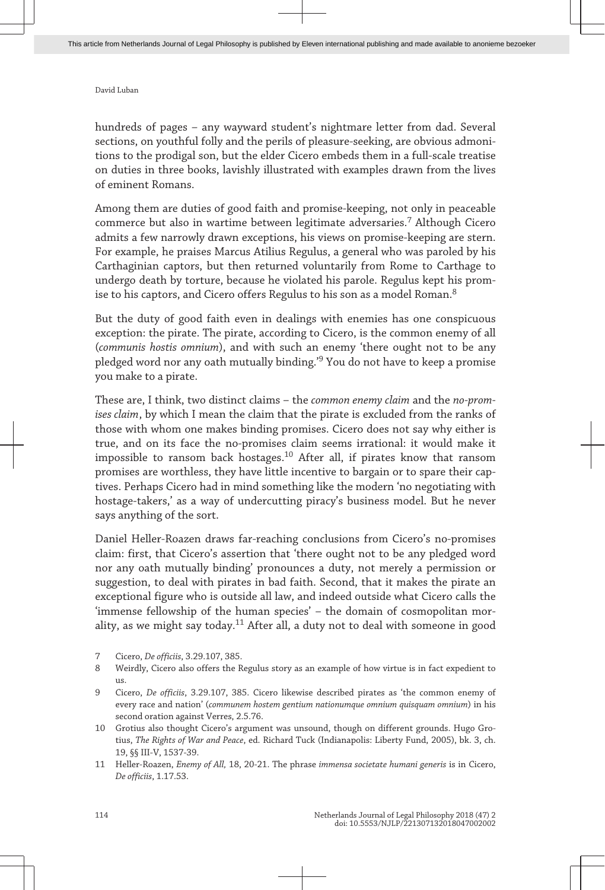hundreds of pages – any wayward student's nightmare letter from dad. Several sections, on youthful folly and the perils of pleasure-seeking, are obvious admonitions to the prodigal son, but the elder Cicero embeds them in a full-scale treatise on duties in three books, lavishly illustrated with examples drawn from the lives of eminent Romans.

Among them are duties of good faith and promise-keeping, not only in peaceable commerce but also in wartime between legitimate adversaries.<sup>7</sup> Although Cicero admits a few narrowly drawn exceptions, his views on promise-keeping are stern. For example, he praises Marcus Atilius Regulus, a general who was paroled by his Carthaginian captors, but then returned voluntarily from Rome to Carthage to undergo death by torture, because he violated his parole. Regulus kept his promise to his captors, and Cicero offers Regulus to his son as a model Roman.<sup>8</sup>

But the duty of good faith even in dealings with enemies has one conspicuous exception: the pirate. The pirate, according to Cicero, is the common enemy of all (*communis hostis omnium*), and with such an enemy 'there ought not to be any pledged word nor any oath mutually binding.'<sup>9</sup> You do not have to keep a promise you make to a pirate.

These are, I think, two distinct claims – the *common enemy claim* and the *no-promises claim*, by which I mean the claim that the pirate is excluded from the ranks of those with whom one makes binding promises. Cicero does not say why either is true, and on its face the no-promises claim seems irrational: it would make it impossible to ransom back hostages.<sup>10</sup> After all, if pirates know that ransom promises are worthless, they have little incentive to bargain or to spare their captives. Perhaps Cicero had in mind something like the modern 'no negotiating with hostage-takers,' as a way of undercutting piracy's business model. But he never says anything of the sort.

Daniel Heller-Roazen draws far-reaching conclusions from Cicero's no-promises claim: first, that Cicero's assertion that 'there ought not to be any pledged word nor any oath mutually binding' pronounces a duty, not merely a permission or suggestion, to deal with pirates in bad faith. Second, that it makes the pirate an exceptional figure who is outside all law, and indeed outside what Cicero calls the 'immense fellowship of the human species' – the domain of cosmopolitan morality, as we might say today.<sup>11</sup> After all, a duty not to deal with someone in good

- 7 Cicero, *De officiis*, 3.29.107, 385.
- 8 Weirdly, Cicero also offers the Regulus story as an example of how virtue is in fact expedient to us.
- 9 Cicero, *De officiis*, 3.29.107, 385. Cicero likewise described pirates as 'the common enemy of every race and nation' (*communem hostem gentium nationumque omnium quisquam omnium*) in his second oration against Verres, 2.5.76.
- 10 Grotius also thought Cicero's argument was unsound, though on different grounds. Hugo Grotius, *The Rights of War and Peace*, ed. Richard Tuck (Indianapolis: Liberty Fund, 2005), bk. 3, ch. 19, §§ III-V, 1537-39.
- 11 Heller-Roazen, *Enemy of All,* 18, 20-21. The phrase *immensa societate humani generis* is in Cicero, *De officiis*, 1.17.53.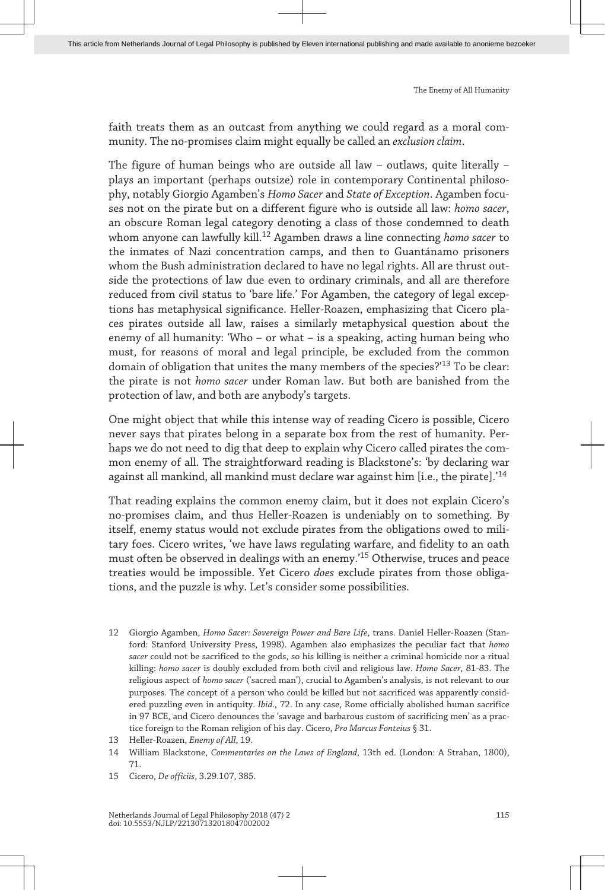faith treats them as an outcast from anything we could regard as a moral community. The no-promises claim might equally be called an *exclusion claim*.

The figure of human beings who are outside all law – outlaws, quite literally – plays an important (perhaps outsize) role in contemporary Continental philosophy, notably Giorgio Agamben's *Homo Sacer* and *State of Exception*. Agamben focuses not on the pirate but on a different figure who is outside all law: *homo sacer*, an obscure Roman legal category denoting a class of those condemned to death whom anyone can lawfully kill.<sup>12</sup> Agamben draws a line connecting *homo sacer* to the inmates of Nazi concentration camps, and then to Guantánamo prisoners whom the Bush administration declared to have no legal rights. All are thrust outside the protections of law due even to ordinary criminals, and all are therefore reduced from civil status to 'bare life.' For Agamben, the category of legal exceptions has metaphysical significance. Heller-Roazen, emphasizing that Cicero places pirates outside all law, raises a similarly metaphysical question about the enemy of all humanity: 'Who – or what – is a speaking, acting human being who must, for reasons of moral and legal principle, be excluded from the common domain of obligation that unites the many members of the species?'<sup>13</sup> To be clear: the pirate is not *homo sacer* under Roman law. But both are banished from the protection of law, and both are anybody's targets.

One might object that while this intense way of reading Cicero is possible, Cicero never says that pirates belong in a separate box from the rest of humanity. Perhaps we do not need to dig that deep to explain why Cicero called pirates the common enemy of all. The straightforward reading is Blackstone's: 'by declaring war against all mankind, all mankind must declare war against him [i.e., the pirate].'<sup>14</sup>

That reading explains the common enemy claim, but it does not explain Cicero's no-promises claim, and thus Heller-Roazen is undeniably on to something. By itself, enemy status would not exclude pirates from the obligations owed to military foes. Cicero writes, 'we have laws regulating warfare, and fidelity to an oath must often be observed in dealings with an enemy.'<sup>15</sup> Otherwise, truces and peace treaties would be impossible. Yet Cicero *does* exclude pirates from those obligations, and the puzzle is why. Let's consider some possibilities.

- 12 Giorgio Agamben, *Homo Sacer: Sovereign Power and Bare Life*, trans. Daniel Heller-Roazen (Stanford: Stanford University Press, 1998). Agamben also emphasizes the peculiar fact that *homo sacer* could not be sacrificed to the gods, so his killing is neither a criminal homicide nor a ritual killing: *homo sacer* is doubly excluded from both civil and religious law. *Homo Sacer*, 81-83. The religious aspect of *homo sacer* ('sacred man'), crucial to Agamben's analysis, is not relevant to our purposes. The concept of a person who could be killed but not sacrificed was apparently considered puzzling even in antiquity. *Ibid*., 72. In any case, Rome officially abolished human sacrifice in 97 BCE, and Cicero denounces the 'savage and barbarous custom of sacrificing men' as a practice foreign to the Roman religion of his day. Cicero, *Pro Marcus Fonteius* § 31.
- 13 Heller-Roazen, *Enemy of All*, 19.
- 14 William Blackstone, *Commentaries on the Laws of England*, 13th ed. (London: A Strahan, 1800), 71.
- 15 Cicero, *De officiis*, 3.29.107, 385.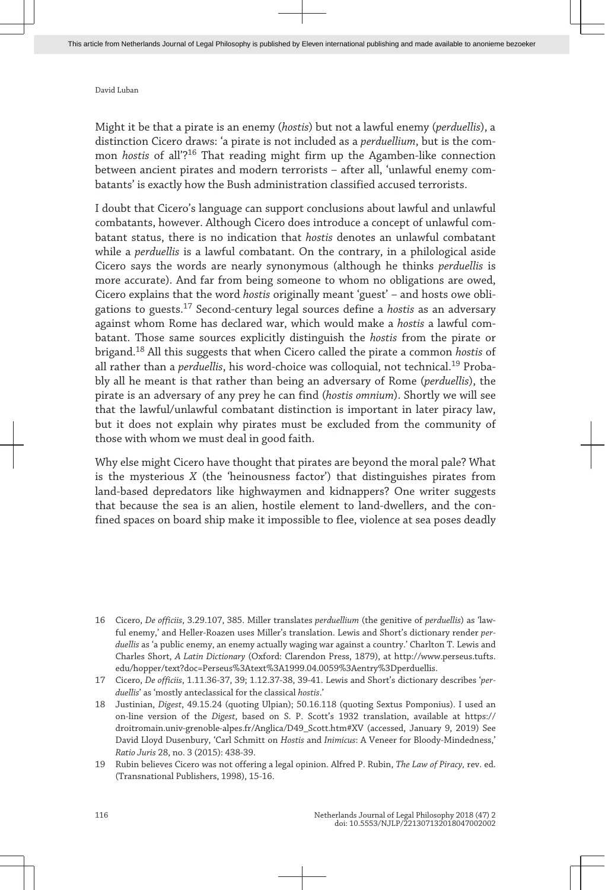Might it be that a pirate is an enemy (*hostis*) but not a lawful enemy (*perduellis*), a distinction Cicero draws: 'a pirate is not included as a *perduellium*, but is the common *hostis* of all'?<sup>16</sup> That reading might firm up the Agamben-like connection between ancient pirates and modern terrorists – after all, 'unlawful enemy combatants' is exactly how the Bush administration classified accused terrorists.

I doubt that Cicero's language can support conclusions about lawful and unlawful combatants, however. Although Cicero does introduce a concept of unlawful combatant status, there is no indication that *hostis* denotes an unlawful combatant while a *perduellis* is a lawful combatant. On the contrary, in a philological aside Cicero says the words are nearly synonymous (although he thinks *perduellis* is more accurate). And far from being someone to whom no obligations are owed, Cicero explains that the word *hostis* originally meant 'guest' – and hosts owe obligations to guests.<sup>17</sup> Second-century legal sources define a *hostis* as an adversary against whom Rome has declared war, which would make a *hostis* a lawful combatant. Those same sources explicitly distinguish the *hostis* from the pirate or brigand.<sup>18</sup> All this suggests that when Cicero called the pirate a common *hostis* of all rather than a *perduellis*, his word-choice was colloquial, not technical.<sup>19</sup> Probably all he meant is that rather than being an adversary of Rome (*perduellis*), the pirate is an adversary of any prey he can find (*hostis omnium*). Shortly we will see that the lawful/unlawful combatant distinction is important in later piracy law, but it does not explain why pirates must be excluded from the community of those with whom we must deal in good faith.

Why else might Cicero have thought that pirates are beyond the moral pale? What is the mysterious *X* (the 'heinousness factor') that distinguishes pirates from land-based depredators like highwaymen and kidnappers? One writer suggests that because the sea is an alien, hostile element to land-dwellers, and the confined spaces on board ship make it impossible to flee, violence at sea poses deadly

<sup>16</sup> Cicero, *De officiis*, 3.29.107, 385. Miller translates *perduellium* (the genitive of *perduellis*) as 'lawful enemy,' and Heller-Roazen uses Miller's translation. Lewis and Short's dictionary render *perduellis* as 'a public enemy, an enemy actually waging war against a country.' Charlton T. Lewis and Charles Short, *A Latin Dictionary* (Oxford: Clarendon Press, 1879), at http://www.perseus.tufts. edu/hopper/text?doc=Perseus%3Atext%3A1999.04.0059%3Aentry%3Dperduellis.

<sup>17</sup> Cicero, *De officiis*, 1.11.36-37, 39; 1.12.37-38, 39-41. Lewis and Short's dictionary describes '*perduellis*' as 'mostly anteclassical for the classical *hostis*.'

<sup>18</sup> Justinian, *Digest*, 49.15.24 (quoting Ulpian); 50.16.118 (quoting Sextus Pomponius). I used an on-line version of the *Digest*, based on S. P. Scott's 1932 translation, available at [https://](https://droitromain.univ-grenoble-alpes.fr/Anglica/D49_Scott.htm#XV) [droitromain. univ -grenoble -alpes. fr/ Anglica/ D49\\_ Scott. htm#XV](https://droitromain.univ-grenoble-alpes.fr/Anglica/D49_Scott.htm#XV) (accessed, January 9, 2019) See David Lloyd Dusenbury, 'Carl Schmitt on *Hostis* and *Inimicus*: A Veneer for Bloody-Mindedness,' *Ratio Juris* 28, no. 3 (2015): 438-39.

<sup>19</sup> Rubin believes Cicero was not offering a legal opinion. Alfred P. Rubin, *The Law of Piracy,* rev. ed. (Transnational Publishers, 1998), 15-16.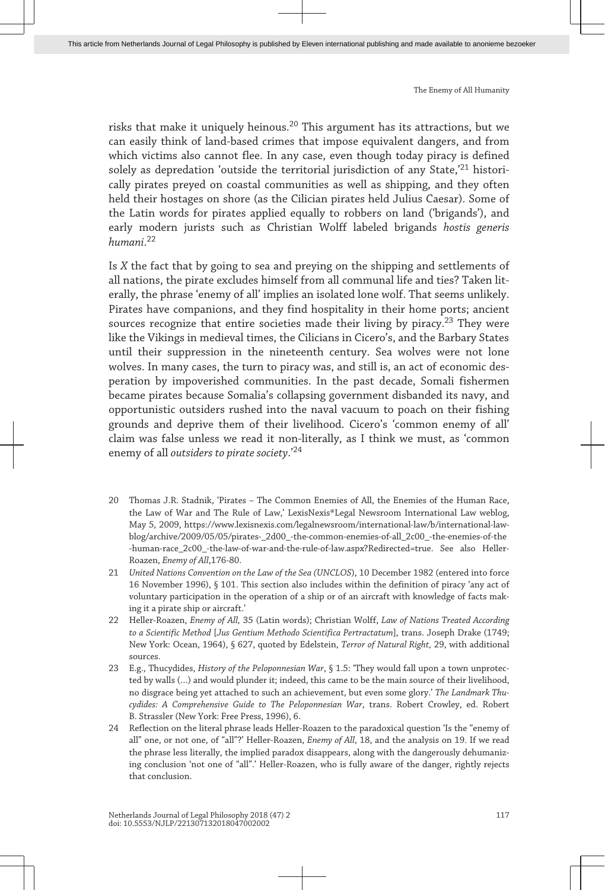risks that make it uniquely heinous.<sup>20</sup> This argument has its attractions, but we can easily think of land-based crimes that impose equivalent dangers, and from which victims also cannot flee. In any case, even though today piracy is defined solely as depredation 'outside the territorial jurisdiction of any State,<sup>21</sup> historically pirates preyed on coastal communities as well as shipping, and they often held their hostages on shore (as the Cilician pirates held Julius Caesar). Some of the Latin words for pirates applied equally to robbers on land ('brigands'), and early modern jurists such as Christian Wolff labeled brigands *hostis generis humani*. 22

Is *X* the fact that by going to sea and preying on the shipping and settlements of all nations, the pirate excludes himself from all communal life and ties? Taken literally, the phrase 'enemy of all' implies an isolated lone wolf. That seems unlikely. Pirates have companions, and they find hospitality in their home ports; ancient sources recognize that entire societies made their living by piracy.<sup>23</sup> They were like the Vikings in medieval times, the Cilicians in Cicero's, and the Barbary States until their suppression in the nineteenth century. Sea wolves were not lone wolves. In many cases, the turn to piracy was, and still is, an act of economic desperation by impoverished communities. In the past decade, Somali fishermen became pirates because Somalia's collapsing government disbanded its navy, and opportunistic outsiders rushed into the naval vacuum to poach on their fishing grounds and deprive them of their livelihood. Cicero's 'common enemy of all' claim was false unless we read it non-literally, as I think we must, as 'common enemy of all *outsiders to pirate society*.'<sup>24</sup>

- 20 Thomas J.R. Stadnik, 'Pirates The Common Enemies of All, the Enemies of the Human Race, the Law of War and The Rule of Law,' LexisNexis®Legal Newsroom International Law weblog, May 5, 2009, [https:// www. lexisnexis. com/ legalnewsroom/ international -law/ b/ international -law](https://www.lexisnexis.com/legalnewsroom/international-law/b/international-law-blog/archive/2009/05/05/pirates-_2d00_-the-common-enemies-of-all_2c00_-the-enemies-of-the-human-race_2c00_-the-law-of-war-and-the-rule-of-law.aspx?Redirected=true)  blog/archive/2009/05/05/pirates-\_2d00\_-the-common-enemies-of-all\_2c00\_-the-enemies-of-the -human-race 2c00 -the-law-of-war-and-the-rule-of-law.aspx?Redirected= true. See also Heller-Roazen, *Enemy of All*,176-80.
- 21 *United Nations Convention on the Law of the Sea (UNCLOS*), 10 December 1982 (entered into force 16 November 1996), § 101. This section also includes within the definition of piracy 'any act of voluntary participation in the operation of a ship or of an aircraft with knowledge of facts making it a pirate ship or aircraft.'
- 22 Heller-Roazen, *Enemy of All,* 35 (Latin words); Christian Wolff, *Law of Nations Treated According to a Scientific Method* [*Jus Gentium Methodo Scientifica Pertractatum*], trans. Joseph Drake (1749; New York: Ocean, 1964), § 627, quoted by Edelstein, *Terror of Natural Right,* 29, with additional sources.
- 23 E.g., Thucydides, *History of the Peloponnesian War*, § 1.5: 'They would fall upon a town unprotected by walls (…) and would plunder it; indeed, this came to be the main source of their livelihood, no disgrace being yet attached to such an achievement, but even some glory.' *The Landmark Thucydides: A Comprehensive Guide to The Peloponnesian War*, trans. Robert Crowley, ed. Robert B. Strassler (New York: Free Press, 1996), 6.
- 24 Reflection on the literal phrase leads Heller-Roazen to the paradoxical question 'Is the "enemy of all" one, or not one, of "all"?' Heller-Roazen, *Enemy of All*, 18, and the analysis on 19. If we read the phrase less literally, the implied paradox disappears, along with the dangerously dehumanizing conclusion 'not one of "all".' Heller-Roazen, who is fully aware of the danger, rightly rejects that conclusion.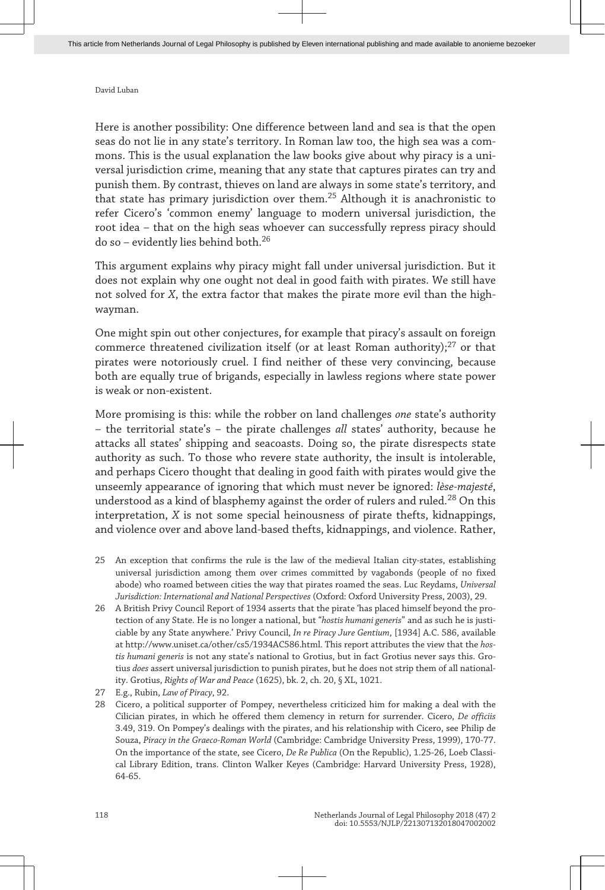Here is another possibility: One difference between land and sea is that the open seas do not lie in any state's territory. In Roman law too, the high sea was a commons. This is the usual explanation the law books give about why piracy is a universal jurisdiction crime, meaning that any state that captures pirates can try and punish them. By contrast, thieves on land are always in some state's territory, and that state has primary jurisdiction over them.<sup>25</sup> Although it is anachronistic to refer Cicero's 'common enemy' language to modern universal jurisdiction, the root idea – that on the high seas whoever can successfully repress piracy should do so – evidently lies behind both.<sup>26</sup>

This argument explains why piracy might fall under universal jurisdiction. But it does not explain why one ought not deal in good faith with pirates. We still have not solved for *X*, the extra factor that makes the pirate more evil than the highwayman.

One might spin out other conjectures, for example that piracy's assault on foreign commerce threatened civilization itself (or at least Roman authority);<sup>27</sup> or that pirates were notoriously cruel. I find neither of these very convincing, because both are equally true of brigands, especially in lawless regions where state power is weak or non-existent.

More promising is this: while the robber on land challenges *one* state's authority – the territorial state's – the pirate challenges *all* states' authority, because he attacks all states' shipping and seacoasts. Doing so, the pirate disrespects state authority as such. To those who revere state authority, the insult is intolerable, and perhaps Cicero thought that dealing in good faith with pirates would give the unseemly appearance of ignoring that which must never be ignored: *lèse-majesté*, understood as a kind of blasphemy against the order of rulers and ruled.<sup>28</sup> On this interpretation, *X* is not some special heinousness of pirate thefts, kidnappings, and violence over and above land-based thefts, kidnappings, and violence. Rather,

- 25 An exception that confirms the rule is the law of the medieval Italian city-states, establishing universal jurisdiction among them over crimes committed by vagabonds (people of no fixed abode) who roamed between cities the way that pirates roamed the seas. Luc Reydams, *Universal Jurisdiction: International and National Perspectives* (Oxford: Oxford University Press, 2003), 29.
- 26 A British Privy Council Report of 1934 asserts that the pirate 'has placed himself beyond the protection of any State. He is no longer a national, but "*hostis humani generis*" and as such he is justiciable by any State anywhere.' Privy Council, *In re Piracy Jure Gentium*, [1934] A.C. 586, available at [http:// www. uniset. ca/ other/ cs5/ 1934AC586. html](http://www.uniset.ca/other/cs5/1934AC586.html). This report attributes the view that the *hostis humani generis* is not any state's national to Grotius, but in fact Grotius never says this. Grotius *does* assert universal jurisdiction to punish pirates, but he does not strip them of all nationality. Grotius, *Rights of War and Peace* (1625), bk. 2, ch. 20, § XL, 1021.

<sup>27</sup> E.g., Rubin, *Law of Piracy*, 92.

<sup>28</sup> Cicero, a political supporter of Pompey, nevertheless criticized him for making a deal with the Cilician pirates, in which he offered them clemency in return for surrender. Cicero, *De officiis* 3.49, 319. On Pompey's dealings with the pirates, and his relationship with Cicero, see Philip de Souza, *Piracy in the Graeco-Roman World* (Cambridge: Cambridge University Press, 1999), 170-77. On the importance of the state, see Cicero, *De Re Publica* (On the Republic), 1.25-26, Loeb Classical Library Edition, trans. Clinton Walker Keyes (Cambridge: Harvard University Press, 1928), 64-65.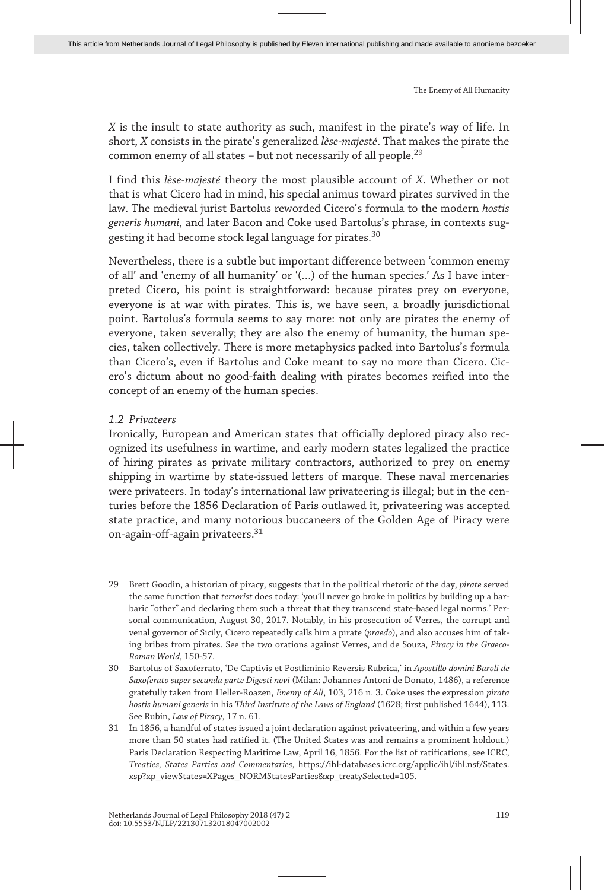*X* is the insult to state authority as such, manifest in the pirate's way of life. In short, *X* consists in the pirate's generalized *lèse-majesté*. That makes the pirate the common enemy of all states – but not necessarily of all people.<sup>29</sup>

I find this *lèse-majesté* theory the most plausible account of *X*. Whether or not that is what Cicero had in mind, his special animus toward pirates survived in the law. The medieval jurist Bartolus reworded Cicero's formula to the modern *hostis generis humani*, and later Bacon and Coke used Bartolus's phrase, in contexts suggesting it had become stock legal language for pirates.<sup>30</sup>

Nevertheless, there is a subtle but important difference between 'common enemy of all' and 'enemy of all humanity' or '(…) of the human species.' As I have interpreted Cicero, his point is straightforward: because pirates prey on everyone, everyone is at war with pirates. This is, we have seen, a broadly jurisdictional point. Bartolus's formula seems to say more: not only are pirates the enemy of everyone, taken severally; they are also the enemy of humanity, the human species, taken collectively. There is more metaphysics packed into Bartolus's formula than Cicero's, even if Bartolus and Coke meant to say no more than Cicero. Cicero's dictum about no good-faith dealing with pirates becomes reified into the concept of an enemy of the human species.

#### *1.2 Privateers*

Ironically, European and American states that officially deplored piracy also recognized its usefulness in wartime, and early modern states legalized the practice of hiring pirates as private military contractors, authorized to prey on enemy shipping in wartime by state-issued letters of marque. These naval mercenaries were privateers. In today's international law privateering is illegal; but in the centuries before the 1856 Declaration of Paris outlawed it, privateering was accepted state practice, and many notorious buccaneers of the Golden Age of Piracy were on-again-off-again privateers.<sup>31</sup>

- 29 Brett Goodin, a historian of piracy, suggests that in the political rhetoric of the day, *pirate* served the same function that *terrorist* does today: 'you'll never go broke in politics by building up a barbaric "other" and declaring them such a threat that they transcend state-based legal norms.' Personal communication, August 30, 2017. Notably, in his prosecution of Verres, the corrupt and venal governor of Sicily, Cicero repeatedly calls him a pirate (*praedo*), and also accuses him of taking bribes from pirates. See the two orations against Verres, and de Souza, *Piracy in the Graeco-Roman World*, 150-57.
- 30 Bartolus of Saxoferrato, 'De Captivis et Postliminio Reversis Rubrica,' in *Apostillo domini Baroli de Saxoferato super secunda parte Digesti novi* (Milan: Johannes Antoni de Donato, 1486), a reference gratefully taken from Heller-Roazen, *Enemy of All*, 103, 216 n. 3. Coke uses the expression *pirata hostis humani generis* in his *Third Institute of the Laws of England* (1628; first published 1644), 113. See Rubin, *Law of Piracy*, 17 n. 61.
- 31 In 1856, a handful of states issued a joint declaration against privateering, and within a few years more than 50 states had ratified it. (The United States was and remains a prominent holdout.) Paris Declaration Respecting Maritime Law, April 16, 1856. For the list of ratifications, see ICRC, *Treaties, States Parties and Commentaries*, [https:// ihl -databases. icrc. org/ applic/ ihl/ ihl. nsf/ States.](https://ihl-databases.icrc.org/applic/ihl/ihl.nsf/States.xsp?xp_viewStates=XPages_NORMStatesParties&xp_treatySelected=105) xsp?xp\_viewStates=XPages\_NORMStatesParties&xp\_treatySelected=105.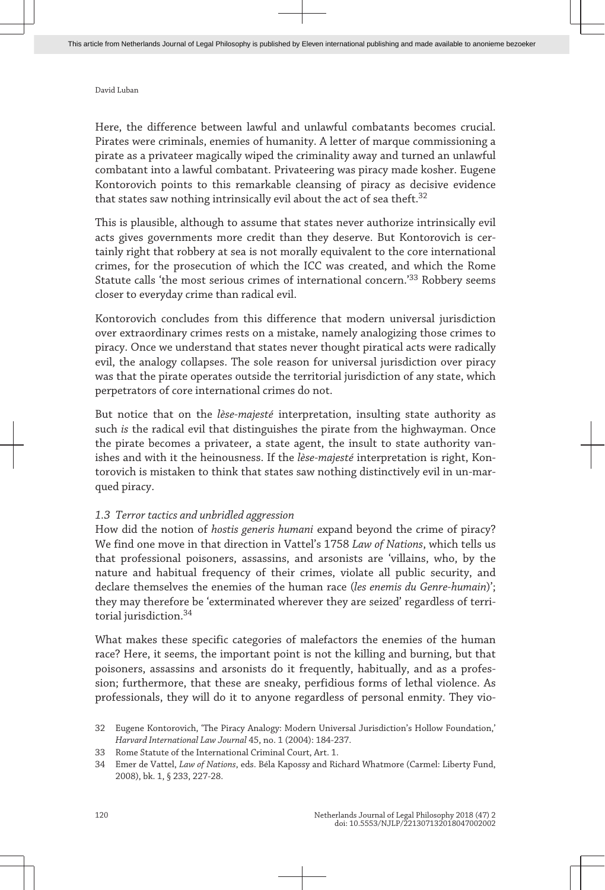Here, the difference between lawful and unlawful combatants becomes crucial. Pirates were criminals, enemies of humanity. A letter of marque commissioning a pirate as a privateer magically wiped the criminality away and turned an unlawful combatant into a lawful combatant. Privateering was piracy made kosher. Eugene Kontorovich points to this remarkable cleansing of piracy as decisive evidence that states saw nothing intrinsically evil about the act of sea theft.<sup>32</sup>

This is plausible, although to assume that states never authorize intrinsically evil acts gives governments more credit than they deserve. But Kontorovich is certainly right that robbery at sea is not morally equivalent to the core international crimes, for the prosecution of which the ICC was created, and which the Rome Statute calls 'the most serious crimes of international concern.'<sup>33</sup> Robbery seems closer to everyday crime than radical evil.

Kontorovich concludes from this difference that modern universal jurisdiction over extraordinary crimes rests on a mistake, namely analogizing those crimes to piracy. Once we understand that states never thought piratical acts were radically evil, the analogy collapses. The sole reason for universal jurisdiction over piracy was that the pirate operates outside the territorial jurisdiction of any state, which perpetrators of core international crimes do not.

But notice that on the *lèse-majesté* interpretation, insulting state authority as such *is* the radical evil that distinguishes the pirate from the highwayman. Once the pirate becomes a privateer, a state agent, the insult to state authority vanishes and with it the heinousness. If the *lèse-majesté* interpretation is right, Kontorovich is mistaken to think that states saw nothing distinctively evil in un-marqued piracy.

## *1.3 Terror tactics and unbridled aggression*

How did the notion of *hostis generis humani* expand beyond the crime of piracy? We find one move in that direction in Vattel's 1758 *Law of Nations*, which tells us that professional poisoners, assassins, and arsonists are 'villains, who, by the nature and habitual frequency of their crimes, violate all public security, and declare themselves the enemies of the human race (*les enemis du Genre-humain*)'; they may therefore be 'exterminated wherever they are seized' regardless of territorial jurisdiction.<sup>34</sup>

What makes these specific categories of malefactors the enemies of the human race? Here, it seems, the important point is not the killing and burning, but that poisoners, assassins and arsonists do it frequently, habitually, and as a profession; furthermore, that these are sneaky, perfidious forms of lethal violence. As professionals, they will do it to anyone regardless of personal enmity. They vio-

<sup>32</sup> Eugene Kontorovich, 'The Piracy Analogy: Modern Universal Jurisdiction's Hollow Foundation,' *Harvard International Law Journal* 45, no. 1 (2004): 184-237.

<sup>33</sup> Rome Statute of the International Criminal Court, Art. 1.

<sup>34</sup> Emer de Vattel, *Law of Nations*, eds. Béla Kapossy and Richard Whatmore (Carmel: Liberty Fund, 2008), bk. 1, § 233, 227-28.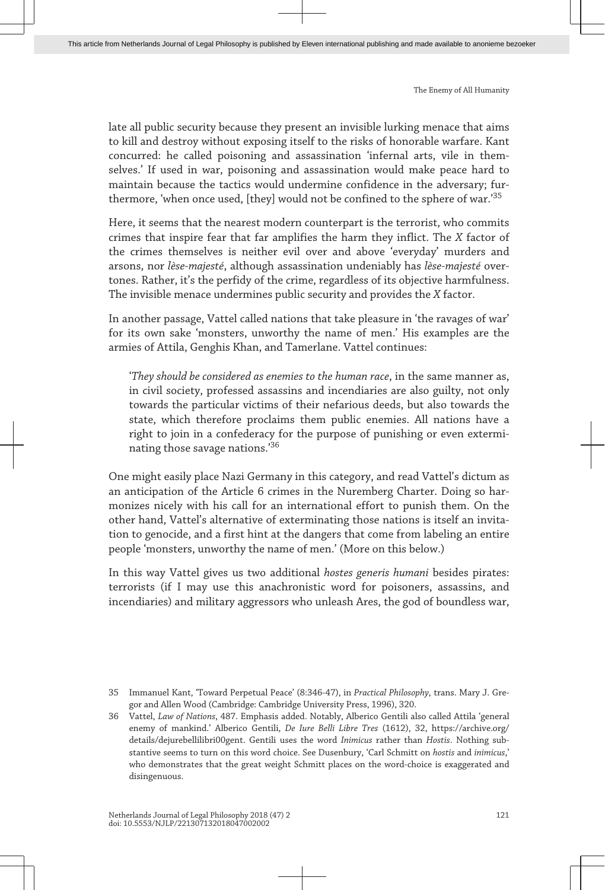late all public security because they present an invisible lurking menace that aims to kill and destroy without exposing itself to the risks of honorable warfare. Kant concurred: he called poisoning and assassination 'infernal arts, vile in themselves.' If used in war, poisoning and assassination would make peace hard to maintain because the tactics would undermine confidence in the adversary; furthermore, 'when once used, [they] would not be confined to the sphere of war.'<sup>35</sup>

Here, it seems that the nearest modern counterpart is the terrorist, who commits crimes that inspire fear that far amplifies the harm they inflict. The *X* factor of the crimes themselves is neither evil over and above 'everyday' murders and arsons, nor *lèse-majesté*, although assassination undeniably has *lèse-majesté* overtones. Rather, it's the perfidy of the crime, regardless of its objective harmfulness. The invisible menace undermines public security and provides the *X* factor.

In another passage, Vattel called nations that take pleasure in 'the ravages of war' for its own sake 'monsters, unworthy the name of men.' His examples are the armies of Attila, Genghis Khan, and Tamerlane. Vattel continues:

'*They should be considered as enemies to the human race*, in the same manner as, in civil society, professed assassins and incendiaries are also guilty, not only towards the particular victims of their nefarious deeds, but also towards the state, which therefore proclaims them public enemies. All nations have a right to join in a confederacy for the purpose of punishing or even exterminating those savage nations.'<sup>36</sup>

One might easily place Nazi Germany in this category, and read Vattel's dictum as an anticipation of the Article 6 crimes in the Nuremberg Charter. Doing so harmonizes nicely with his call for an international effort to punish them. On the other hand, Vattel's alternative of exterminating those nations is itself an invitation to genocide, and a first hint at the dangers that come from labeling an entire people 'monsters, unworthy the name of men.' (More on this below.)

In this way Vattel gives us two additional *hostes generis humani* besides pirates: terrorists (if I may use this anachronistic word for poisoners, assassins, and incendiaries) and military aggressors who unleash Ares, the god of boundless war,

<sup>35</sup> Immanuel Kant, 'Toward Perpetual Peace' (8:346-47), in *Practical Philosophy*, trans. Mary J. Gregor and Allen Wood (Cambridge: Cambridge University Press, 1996), 320.

<sup>36</sup> Vattel, *Law of Nations*, 487. Emphasis added. Notably, Alberico Gentili also called Attila 'general enemy of mankind.' Alberico Gentili, *De Iure Belli Libre Tres* (1612), 32, https://archive.org/ [details/ dejurebellilibri00gent.](https://archive.org/details/dejurebellilibri00gent) Gentili uses the word *Inimicus* rather than *Hostis*. Nothing substantive seems to turn on this word choice. See Dusenbury, 'Carl Schmitt on *hostis* and *inimicus*,' who demonstrates that the great weight Schmitt places on the word-choice is exaggerated and disingenuous.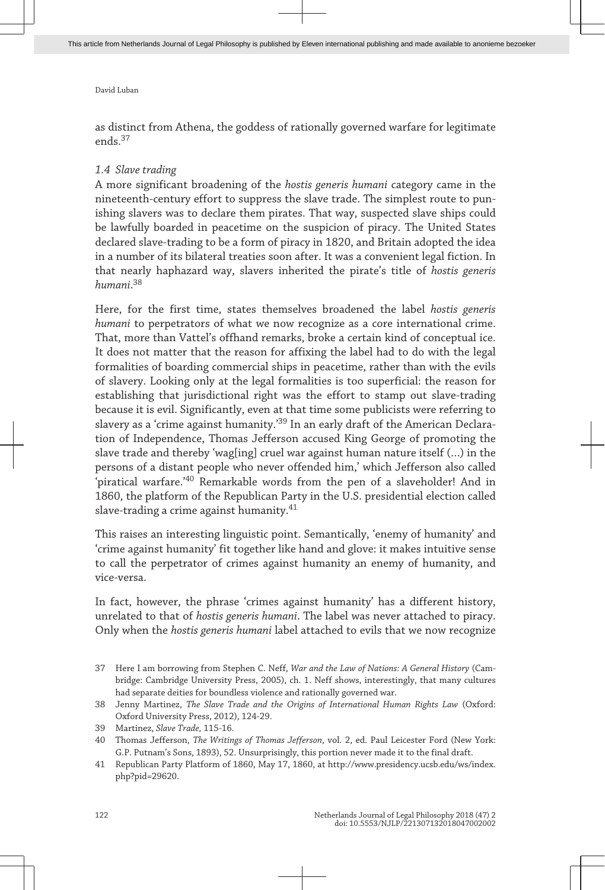as distinct from Athena, the goddess of rationally governed warfare for legitimate ends.<sup>37</sup>

#### *1.4 Slave trading*

A more significant broadening of the *hostis generis humani* category came in the nineteenth-century effort to suppress the slave trade. The simplest route to punishing slavers was to declare them pirates. That way, suspected slave ships could be lawfully boarded in peacetime on the suspicion of piracy. The United States declared slave-trading to be a form of piracy in 1820, and Britain adopted the idea in a number of its bilateral treaties soon after. It was a convenient legal fiction. In that nearly haphazard way, slavers inherited the pirate's title of *hostis generis humani*. 38

Here, for the first time, states themselves broadened the label *hostis generis humani* to perpetrators of what we now recognize as a core international crime. That, more than Vattel's offhand remarks, broke a certain kind of conceptual ice. It does not matter that the reason for affixing the label had to do with the legal formalities of boarding commercial ships in peacetime, rather than with the evils of slavery. Looking only at the legal formalities is too superficial: the reason for establishing that jurisdictional right was the effort to stamp out slave-trading because it is evil. Significantly, even at that time some publicists were referring to slavery as a 'crime against humanity.<sup>'39</sup> In an early draft of the American Declaration of Independence, Thomas Jefferson accused King George of promoting the slave trade and thereby 'wag[ing] cruel war against human nature itself (...) in the persons of a distant people who never offended him,' which Jefferson also called 'piratical warfare.'<sup>40</sup> Remarkable words from the pen of a slaveholder! And in 1860, the platform of the Republican Party in the U.S. presidential election called slave-trading a crime against humanity.<sup>41</sup>

This raises an interesting linguistic point. Semantically, 'enemy of humanity' and 'crime against humanity' fit together like hand and glove: it makes intuitive sense to call the perpetrator of crimes against humanity an enemy of humanity, and vice-versa.

In fact, however, the phrase 'crimes against humanity' has a different history, unrelated to that of *hostis generis humani*. The label was never attached to piracy. Only when the *hostis generis humani* label attached to evils that we now recognize

<sup>37</sup> Here I am borrowing from Stephen C. Neff, *War and the Law of Nations: A General History* (Cambridge: Cambridge University Press, 2005), ch. 1. Neff shows, interestingly, that many cultures had separate deities for boundless violence and rationally governed war.

<sup>38</sup> Jenny Martinez, *The Slave Trade and the Origins of International Human Rights Law* (Oxford: Oxford University Press, 2012), 124-29.

<sup>39</sup> Martinez, *Slave Trade,* 115-16.

<sup>40</sup> Thomas Jefferson, *The Writings of Thomas Jefferson*, vol. 2, ed. Paul Leicester Ford (New York: G.P. Putnam's Sons, 1893), 52. Unsurprisingly, this portion never made it to the final draft.

<sup>41</sup> Republican Party Platform of 1860, May 17, 1860, at http://www.presidency.ucsb.edu/ws/index. php?pid=29620.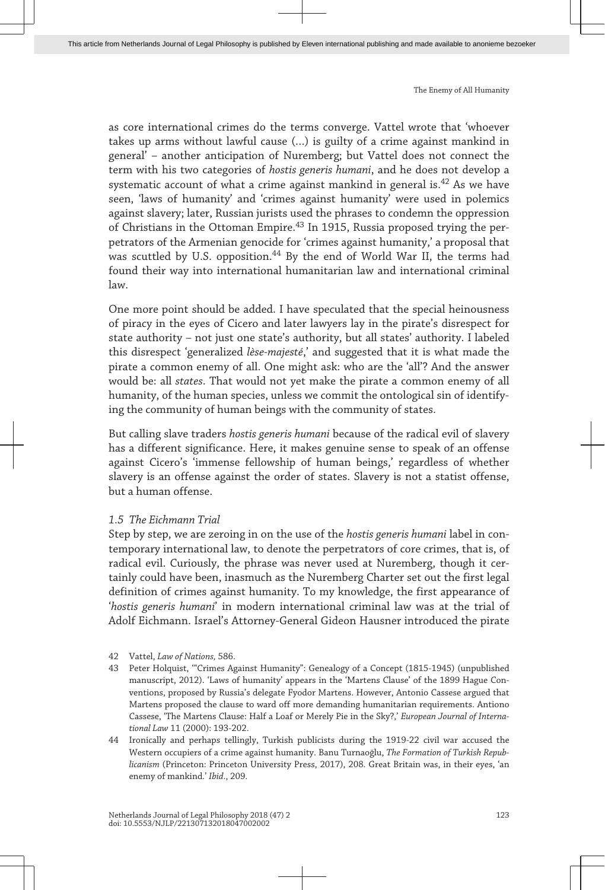as core international crimes do the terms converge. Vattel wrote that 'whoever takes up arms without lawful cause (…) is guilty of a crime against mankind in general' – another anticipation of Nuremberg; but Vattel does not connect the term with his two categories of *hostis generis humani*, and he does not develop a systematic account of what a crime against mankind in general is.<sup>42</sup> As we have seen, 'laws of humanity' and 'crimes against humanity' were used in polemics against slavery; later, Russian jurists used the phrases to condemn the oppression of Christians in the Ottoman Empire.<sup>43</sup> In 1915, Russia proposed trying the perpetrators of the Armenian genocide for 'crimes against humanity,' a proposal that was scuttled by U.S. opposition.<sup>44</sup> By the end of World War II, the terms had found their way into international humanitarian law and international criminal law.

One more point should be added. I have speculated that the special heinousness of piracy in the eyes of Cicero and later lawyers lay in the pirate's disrespect for state authority – not just one state's authority, but all states' authority. I labeled this disrespect 'generalized *lèse-majesté*,' and suggested that it is what made the pirate a common enemy of all. One might ask: who are the 'all'? And the answer would be: all *states*. That would not yet make the pirate a common enemy of all humanity, of the human species, unless we commit the ontological sin of identifying the community of human beings with the community of states.

But calling slave traders *hostis generis humani* because of the radical evil of slavery has a different significance. Here, it makes genuine sense to speak of an offense against Cicero's 'immense fellowship of human beings,' regardless of whether slavery is an offense against the order of states. Slavery is not a statist offense, but a human offense.

#### *1.5 The Eichmann Trial*

Step by step, we are zeroing in on the use of the *hostis generis humani* label in contemporary international law, to denote the perpetrators of core crimes, that is, of radical evil. Curiously, the phrase was never used at Nuremberg, though it certainly could have been, inasmuch as the Nuremberg Charter set out the first legal definition of crimes against humanity. To my knowledge, the first appearance of '*hostis generis humani*' in modern international criminal law was at the trial of Adolf Eichmann. Israel's Attorney-General Gideon Hausner introduced the pirate

- 43 Peter Holquist, '"Crimes Against Humanity": Genealogy of a Concept (1815-1945) (unpublished manuscript, 2012). 'Laws of humanity' appears in the 'Martens Clause' of the 1899 Hague Conventions, proposed by Russia's delegate Fyodor Martens. However, Antonio Cassese argued that Martens proposed the clause to ward off more demanding humanitarian requirements. Antiono Cassese, 'The Martens Clause: Half a Loaf or Merely Pie in the Sky?,' *European Journal of International Law* 11 (2000): 193-202.
- 44 Ironically and perhaps tellingly, Turkish publicists during the 1919-22 civil war accused the Western occupiers of a crime against humanity. Banu Turnaoğlu, *The Formation of Turkish Republicanism* (Princeton: Princeton University Press, 2017), 208. Great Britain was, in their eyes, 'an enemy of mankind.' *Ibid*., 209.

<sup>42</sup> Vattel, *Law of Nations,* 586.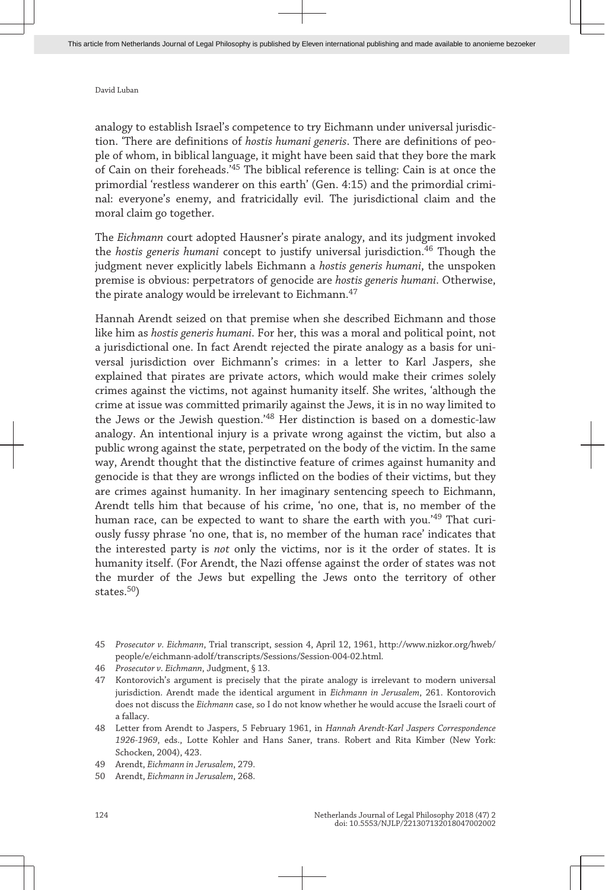analogy to establish Israel's competence to try Eichmann under universal jurisdiction. 'There are definitions of *hostis humani generis*. There are definitions of people of whom, in biblical language, it might have been said that they bore the mark of Cain on their foreheads.'<sup>45</sup> The biblical reference is telling: Cain is at once the primordial 'restless wanderer on this earth' (Gen. 4:15) and the primordial criminal: everyone's enemy, and fratricidally evil. The jurisdictional claim and the moral claim go together.

The *Eichmann* court adopted Hausner's pirate analogy, and its judgment invoked the *hostis generis humani* concept to justify universal jurisdiction.<sup>46</sup> Though the judgment never explicitly labels Eichmann a *hostis generis humani*, the unspoken premise is obvious: perpetrators of genocide are *hostis generis humani*. Otherwise, the pirate analogy would be irrelevant to Eichmann.<sup>47</sup>

Hannah Arendt seized on that premise when she described Eichmann and those like him as *hostis generis humani*. For her, this was a moral and political point, not a jurisdictional one. In fact Arendt rejected the pirate analogy as a basis for universal jurisdiction over Eichmann's crimes: in a letter to Karl Jaspers, she explained that pirates are private actors, which would make their crimes solely crimes against the victims, not against humanity itself. She writes, 'although the crime at issue was committed primarily against the Jews, it is in no way limited to the Jews or the Jewish question.'<sup>48</sup> Her distinction is based on a domestic-law analogy. An intentional injury is a private wrong against the victim, but also a public wrong against the state, perpetrated on the body of the victim. In the same way, Arendt thought that the distinctive feature of crimes against humanity and genocide is that they are wrongs inflicted on the bodies of their victims, but they are crimes against humanity. In her imaginary sentencing speech to Eichmann, Arendt tells him that because of his crime, 'no one, that is, no member of the human race, can be expected to want to share the earth with you.'<sup>49</sup> That curiously fussy phrase 'no one, that is, no member of the human race' indicates that the interested party is *not* only the victims, nor is it the order of states. It is humanity itself. (For Arendt, the Nazi offense against the order of states was not the murder of the Jews but expelling the Jews onto the territory of other states.<sup>50</sup>)

<sup>45</sup> *Prosecutor v. Eichmann*, Trial transcript, session 4, April 12, 1961, [http:// www. nizkor. org/ hweb/](http://www.nizkor.org/hweb/people/e/eichmann-adolf/transcripts/Sessions/Session-004-02.html) people/e/eichmann-adolf/transcripts/Sessions/Session-004-02.html.

<sup>46</sup> *Prosecutor v. Eichmann*, Judgment, § 13.

<sup>47</sup> Kontorovich's argument is precisely that the pirate analogy is irrelevant to modern universal jurisdiction. Arendt made the identical argument in *Eichmann in Jerusalem*, 261. Kontorovich does not discuss the *Eichmann* case, so I do not know whether he would accuse the Israeli court of a fallacy.

<sup>48</sup> Letter from Arendt to Jaspers, 5 February 1961, in *Hannah Arendt-Karl Jaspers Correspondence 1926-1969*, eds., Lotte Kohler and Hans Saner, trans. Robert and Rita Kimber (New York: Schocken, 2004), 423.

<sup>49</sup> Arendt, *Eichmann in Jerusalem*, 279.

<sup>50</sup> Arendt, *Eichmann in Jerusalem*, 268.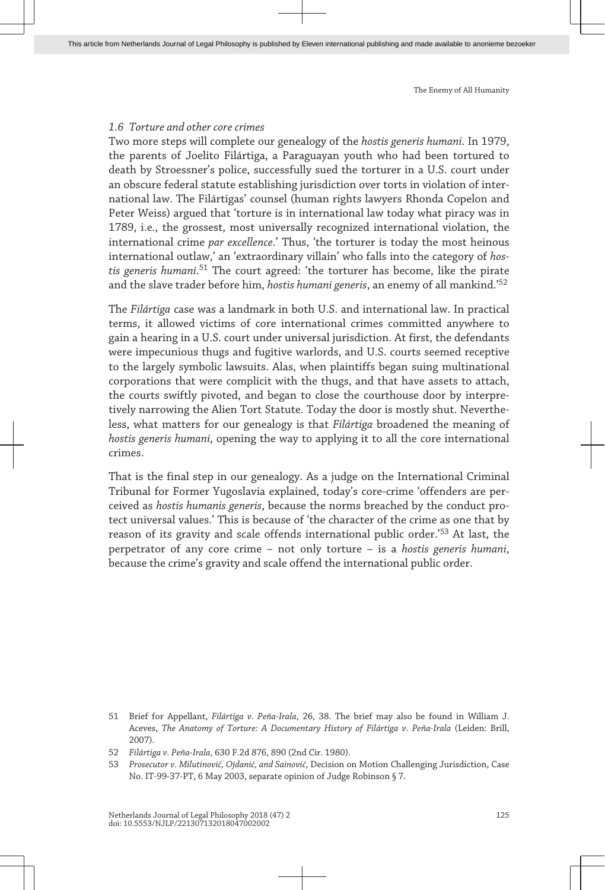#### *1.6 Torture and other core crimes*

Two more steps will complete our genealogy of the *hostis generis humani*. In 1979, the parents of Joelito Filártiga, a Paraguayan youth who had been tortured to death by Stroessner's police, successfully sued the torturer in a U.S. court under an obscure federal statute establishing jurisdiction over torts in violation of international law. The Filártigas' counsel (human rights lawyers Rhonda Copelon and Peter Weiss) argued that 'torture is in international law today what piracy was in 1789, i.e., the grossest, most universally recognized international violation, the international crime *par excellence.*' Thus, 'the torturer is today the most heinous international outlaw,' an 'extraordinary villain' who falls into the category of *hostis generis humani*. <sup>51</sup> The court agreed: 'the torturer has become, like the pirate and the slave trader before him, *hostis humani generis*, an enemy of all mankind.'<sup>52</sup>

The *Filártiga* case was a landmark in both U.S. and international law. In practical terms, it allowed victims of core international crimes committed anywhere to gain a hearing in a U.S. court under universal jurisdiction. At first, the defendants were impecunious thugs and fugitive warlords, and U.S. courts seemed receptive to the largely symbolic lawsuits. Alas, when plaintiffs began suing multinational corporations that were complicit with the thugs, and that have assets to attach, the courts swiftly pivoted, and began to close the courthouse door by interpretively narrowing the Alien Tort Statute. Today the door is mostly shut. Nevertheless, what matters for our genealogy is that *Filártiga* broadened the meaning of *hostis generis humani*, opening the way to applying it to all the core international crimes.

That is the final step in our genealogy. As a judge on the International Criminal Tribunal for Former Yugoslavia explained, today's core-crime 'offenders are perceived as *hostis humanis generis*, because the norms breached by the conduct protect universal values.' This is because of 'the character of the crime as one that by reason of its gravity and scale offends international public order.'<sup>53</sup> At last, the perpetrator of any core crime – not only torture – is a *hostis generis humani*, because the crime's gravity and scale offend the international public order.

<sup>51</sup> Brief for Appellant, *Filártiga v. Peña-Irala*, 26, 38. The brief may also be found in William J. Aceves, *The Anatomy of Torture: A Documentary History of Filártiga v. Peña-Irala* (Leiden: Brill, 2007).

<sup>52</sup> *Filártiga v. Peña-Irala*, 630 F.2d 876, 890 (2nd Cir. 1980).

<sup>53</sup> *Prosecutor v. Milutinović, Ojdanić, and Sainović*, Decision on Motion Challenging Jurisdiction, Case No. IT-99-37-PT, 6 May 2003, separate opinion of Judge Robinson § 7.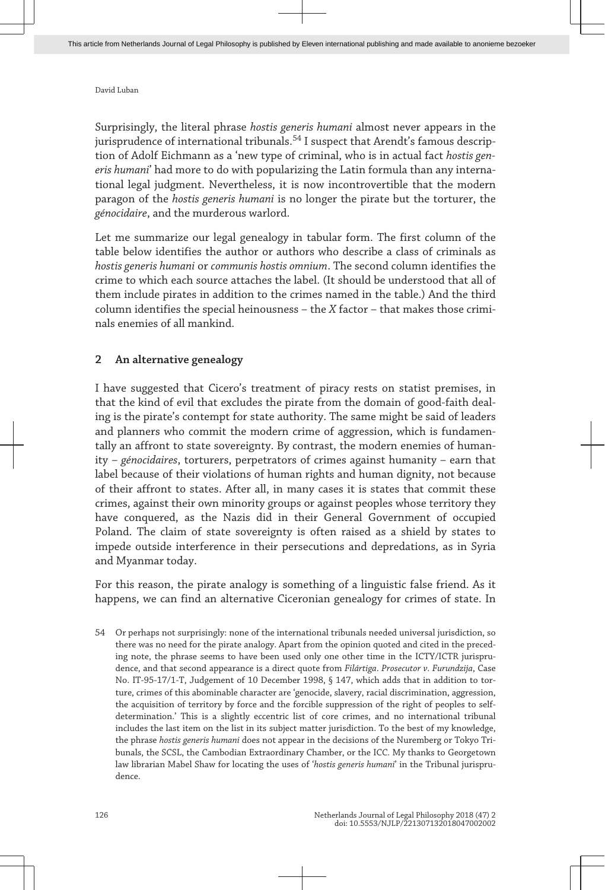Surprisingly, the literal phrase *hostis generis humani* almost never appears in the jurisprudence of international tribunals.<sup>54</sup> I suspect that Arendt's famous description of Adolf Eichmann as a 'new type of criminal, who is in actual fact *hostis generis humani*' had more to do with popularizing the Latin formula than any international legal judgment. Nevertheless, it is now incontrovertible that the modern paragon of the *hostis generis humani* is no longer the pirate but the torturer, the *génocidaire*, and the murderous warlord.

Let me summarize our legal genealogy in tabular form. The first column of the table below identifies the author or authors who describe a class of criminals as *hostis generis humani* or *communis hostis omnium*. The second column identifies the crime to which each source attaches the label. (It should be understood that all of them include pirates in addition to the crimes named in the table.) And the third column identifies the special heinousness – the *X* factor – that makes those criminals enemies of all mankind.

### **2 An alternative genealogy**

I have suggested that Cicero's treatment of piracy rests on statist premises, in that the kind of evil that excludes the pirate from the domain of good-faith dealing is the pirate's contempt for state authority. The same might be said of leaders and planners who commit the modern crime of aggression, which is fundamentally an affront to state sovereignty. By contrast, the modern enemies of humanity – *génocidaires*, torturers, perpetrators of crimes against humanity – earn that label because of their violations of human rights and human dignity, not because of their affront to states. After all, in many cases it is states that commit these crimes, against their own minority groups or against peoples whose territory they have conquered, as the Nazis did in their General Government of occupied Poland. The claim of state sovereignty is often raised as a shield by states to impede outside interference in their persecutions and depredations, as in Syria and Myanmar today.

For this reason, the pirate analogy is something of a linguistic false friend. As it happens, we can find an alternative Ciceronian genealogy for crimes of state. In

54 Or perhaps not surprisingly: none of the international tribunals needed universal jurisdiction, so there was no need for the pirate analogy. Apart from the opinion quoted and cited in the preceding note, the phrase seems to have been used only one other time in the ICTY/ICTR jurisprudence, and that second appearance is a direct quote from *Filártiga*. *Prosecutor v. Furundzija*, Case No. IT-95-17/1-T, Judgement of 10 December 1998, § 147, which adds that in addition to torture, crimes of this abominable character are 'genocide, slavery, racial discrimination, aggression, the acquisition of territory by force and the forcible suppression of the right of peoples to selfdetermination.' This is a slightly eccentric list of core crimes, and no international tribunal includes the last item on the list in its subject matter jurisdiction. To the best of my knowledge, the phrase *hostis generis humani* does not appear in the decisions of the Nuremberg or Tokyo Tribunals, the SCSL, the Cambodian Extraordinary Chamber, or the ICC. My thanks to Georgetown law librarian Mabel Shaw for locating the uses of '*hostis generis humani*' in the Tribunal jurisprudence.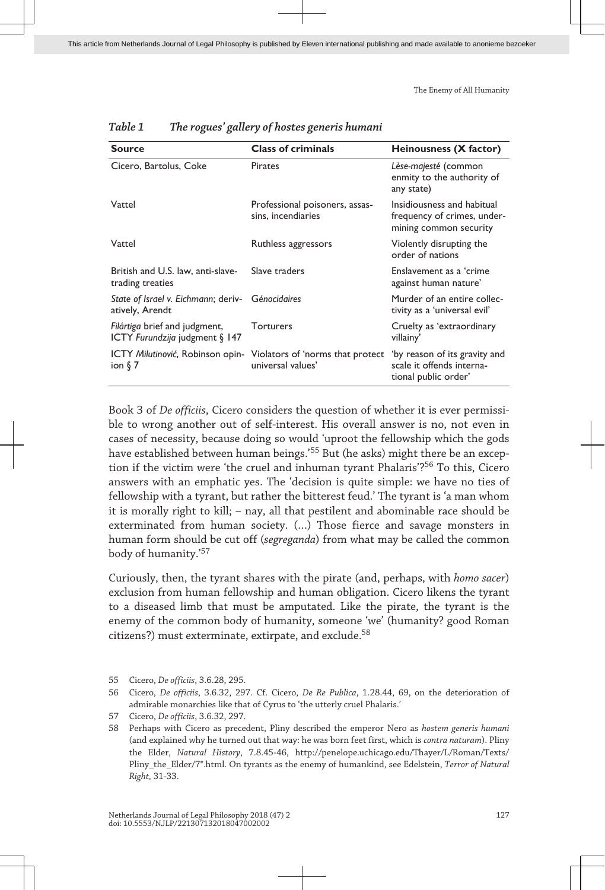| <b>Source</b>                                                       | <b>Class of criminals</b>                                                              | Heinousness (X factor)                                                              |
|---------------------------------------------------------------------|----------------------------------------------------------------------------------------|-------------------------------------------------------------------------------------|
| Cicero, Bartolus, Coke                                              | <b>Pirates</b>                                                                         | Lèse-majesté (common<br>enmity to the authority of<br>any state)                    |
| Vattel                                                              | Professional poisoners, assas-<br>sins, incendiaries                                   | Insidiousness and habitual<br>frequency of crimes, under-<br>mining common security |
| Vattel                                                              | Ruthless aggressors                                                                    | Violently disrupting the<br>order of nations                                        |
| British and U.S. law, anti-slave-<br>trading treaties               | Slave traders                                                                          | Enslavement as a 'crime<br>against human nature'                                    |
| State of Israel v. Eichmann; deriv- Génocidaires<br>atively, Arendt |                                                                                        | Murder of an entire collec-<br>tivity as a 'universal evil'                         |
| Filártiga brief and judgment,<br>ICTY Furundzija judgment § 147     | Torturers                                                                              | Cruelty as 'extraordinary<br>villainy'                                              |
| ion $\S 7$                                                          | ICTY Milutinović, Robinson opin- Violators of 'norms that protect<br>universal values' | 'by reason of its gravity and<br>scale it offends interna-<br>tional public order'  |

#### *Table 1 The rogues' gallery of hostes generis humani*

Book 3 of *De officiis*, Cicero considers the question of whether it is ever permissible to wrong another out of self-interest. His overall answer is no, not even in cases of necessity, because doing so would 'uproot the fellowship which the gods have established between human beings.'<sup>55</sup> But (he asks) might there be an exception if the victim were 'the cruel and inhuman tyrant Phalaris'?<sup>56</sup> To this, Cicero answers with an emphatic yes. The 'decision is quite simple: we have no ties of fellowship with a tyrant, but rather the bitterest feud.' The tyrant is 'a man whom it is morally right to kill; – nay, all that pestilent and abominable race should be exterminated from human society. (…) Those fierce and savage monsters in human form should be cut off (*segreganda*) from what may be called the common body of humanity.'<sup>57</sup>

Curiously, then, the tyrant shares with the pirate (and, perhaps, with *homo sacer*) exclusion from human fellowship and human obligation. Cicero likens the tyrant to a diseased limb that must be amputated. Like the pirate, the tyrant is the enemy of the common body of humanity, someone 'we' (humanity? good Roman citizens?) must exterminate, extirpate, and exclude.<sup>58</sup>

- 55 Cicero, *De officiis*, 3.6.28, 295.
- 56 Cicero, *De officiis*, 3.6.32, 297. Cf. Cicero, *De Re Publica*, 1.28.44, 69, on the deterioration of admirable monarchies like that of Cyrus to 'the utterly cruel Phalaris.'
- 57 Cicero, *De officiis*, 3.6.32, 297.

<sup>58</sup> Perhaps with Cicero as precedent, Pliny described the emperor Nero as *hostem generis humani* (and explained why he turned out that way: he was born feet first, which is *contra naturam*). Pliny the Elder, *Natural History*, 7.8.45-46, http://penelope.uchicago.edu/Thayer/L/Roman/Texts/ [Pliny\\_ the\\_ Elder/ 7\\*. html](http://penelope.uchicago.edu/Thayer/L/Roman/Texts/Pliny_the_Elder/7*.html). On tyrants as the enemy of humankind, see Edelstein, *Terror of Natural Right,* 31-33.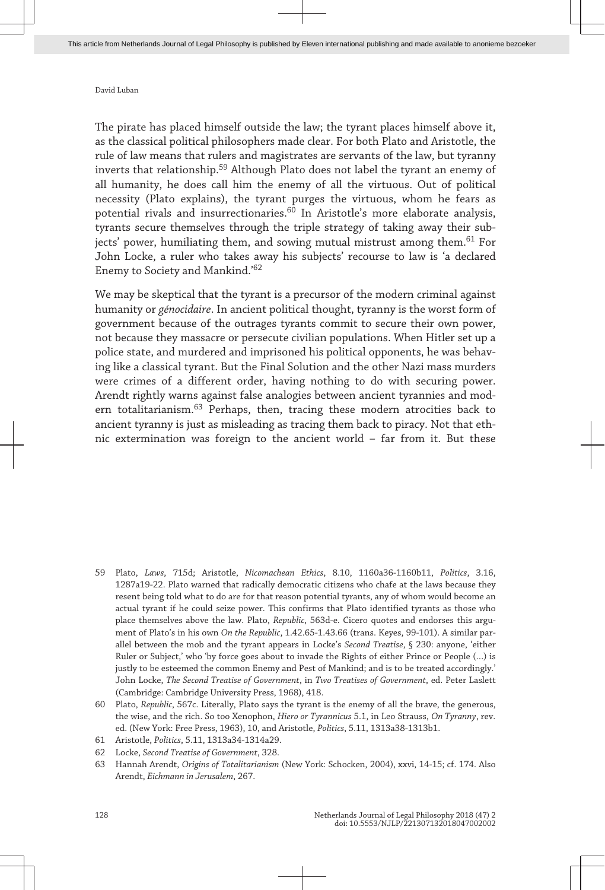The pirate has placed himself outside the law; the tyrant places himself above it, as the classical political philosophers made clear. For both Plato and Aristotle, the rule of law means that rulers and magistrates are servants of the law, but tyranny inverts that relationship.<sup>59</sup> Although Plato does not label the tyrant an enemy of all humanity, he does call him the enemy of all the virtuous. Out of political necessity (Plato explains), the tyrant purges the virtuous, whom he fears as potential rivals and insurrectionaries.<sup>60</sup> In Aristotle's more elaborate analysis, tyrants secure themselves through the triple strategy of taking away their subjects' power, humiliating them, and sowing mutual mistrust among them.<sup>61</sup> For John Locke, a ruler who takes away his subjects' recourse to law is 'a declared Enemy to Society and Mankind.'<sup>62</sup>

We may be skeptical that the tyrant is a precursor of the modern criminal against humanity or *génocidaire*. In ancient political thought, tyranny is the worst form of government because of the outrages tyrants commit to secure their own power, not because they massacre or persecute civilian populations. When Hitler set up a police state, and murdered and imprisoned his political opponents, he was behaving like a classical tyrant. But the Final Solution and the other Nazi mass murders were crimes of a different order, having nothing to do with securing power. Arendt rightly warns against false analogies between ancient tyrannies and modern totalitarianism.<sup>63</sup> Perhaps, then, tracing these modern atrocities back to ancient tyranny is just as misleading as tracing them back to piracy. Not that ethnic extermination was foreign to the ancient world – far from it. But these

59 Plato, *Laws*, 715d; Aristotle, *Nicomachean Ethics*, 8.10, 1160a36-1160b11, *Politics*, 3.16, 1287a19-22. Plato warned that radically democratic citizens who chafe at the laws because they resent being told what to do are for that reason potential tyrants, any of whom would become an actual tyrant if he could seize power. This confirms that Plato identified tyrants as those who place themselves above the law. Plato, *Republic*, 563d-e. Cicero quotes and endorses this argument of Plato's in his own *On the Republic*, 1.42.65-1.43.66 (trans. Keyes, 99-101). A similar parallel between the mob and the tyrant appears in Locke's *Second Treatise*, § 230: anyone, 'either Ruler or Subject,' who 'by force goes about to invade the Rights of either Prince or People (…) is justly to be esteemed the common Enemy and Pest of Mankind; and is to be treated accordingly.' John Locke, *The Second Treatise of Government*, in *Two Treatises of Government*, ed. Peter Laslett (Cambridge: Cambridge University Press, 1968), 418.

<sup>60</sup> Plato, *Republic*, 567c. Literally, Plato says the tyrant is the enemy of all the brave, the generous, the wise, and the rich. So too Xenophon, *Hiero or Tyrannicus* 5.1, in Leo Strauss, *On Tyranny*, rev. ed. (New York: Free Press, 1963), 10, and Aristotle, *Politics*, 5.11, 1313a38-1313b1.

<sup>61</sup> Aristotle, *Politics*, 5.11, 1313a34-1314a29.

<sup>62</sup> Locke, *Second Treatise of Government*, 328.

<sup>63</sup> Hannah Arendt, *Origins of Totalitarianism* (New York: Schocken, 2004), xxvi, 14-15; cf. 174. Also Arendt, *Eichmann in Jerusalem*, 267.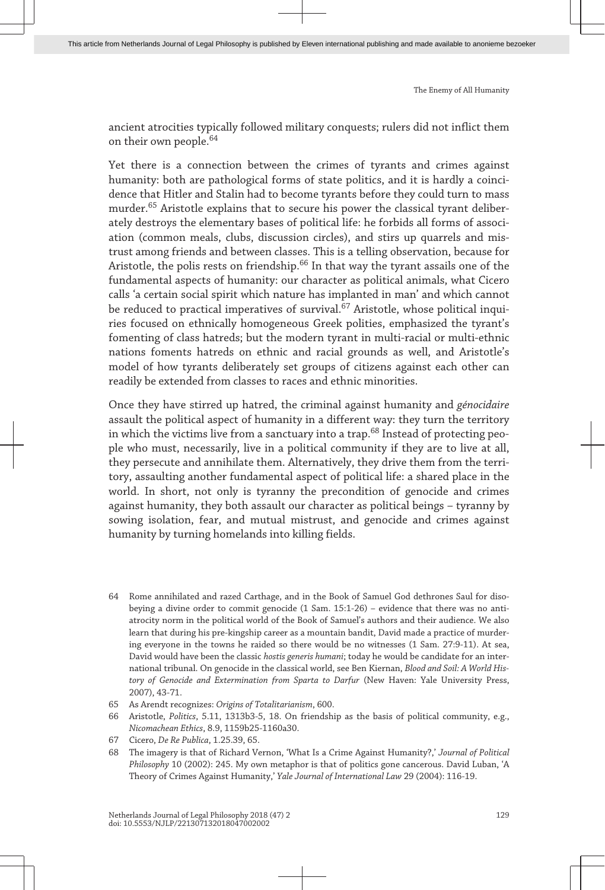ancient atrocities typically followed military conquests; rulers did not inflict them on their own people.<sup>64</sup>

Yet there is a connection between the crimes of tyrants and crimes against humanity: both are pathological forms of state politics, and it is hardly a coincidence that Hitler and Stalin had to become tyrants before they could turn to mass murder.<sup>65</sup> Aristotle explains that to secure his power the classical tyrant deliberately destroys the elementary bases of political life: he forbids all forms of association (common meals, clubs, discussion circles), and stirs up quarrels and mistrust among friends and between classes. This is a telling observation, because for Aristotle, the polis rests on friendship.<sup>66</sup> In that way the tyrant assails one of the fundamental aspects of humanity: our character as political animals, what Cicero calls 'a certain social spirit which nature has implanted in man' and which cannot be reduced to practical imperatives of survival.<sup>67</sup> Aristotle, whose political inquiries focused on ethnically homogeneous Greek polities, emphasized the tyrant's fomenting of class hatreds; but the modern tyrant in multi-racial or multi-ethnic nations foments hatreds on ethnic and racial grounds as well, and Aristotle's model of how tyrants deliberately set groups of citizens against each other can readily be extended from classes to races and ethnic minorities.

Once they have stirred up hatred, the criminal against humanity and *génocidaire* assault the political aspect of humanity in a different way: they turn the territory in which the victims live from a sanctuary into a trap. $68$  Instead of protecting people who must, necessarily, live in a political community if they are to live at all, they persecute and annihilate them. Alternatively, they drive them from the territory, assaulting another fundamental aspect of political life: a shared place in the world. In short, not only is tyranny the precondition of genocide and crimes against humanity, they both assault our character as political beings – tyranny by sowing isolation, fear, and mutual mistrust, and genocide and crimes against humanity by turning homelands into killing fields.

- 64 Rome annihilated and razed Carthage, and in the Book of Samuel God dethrones Saul for disobeying a divine order to commit genocide (1 Sam. 15:1-26) – evidence that there was no antiatrocity norm in the political world of the Book of Samuel's authors and their audience. We also learn that during his pre-kingship career as a mountain bandit, David made a practice of murdering everyone in the towns he raided so there would be no witnesses (1 Sam. 27:9-11). At sea, David would have been the classic *hostis generis humani*; today he would be candidate for an international tribunal. On genocide in the classical world, see Ben Kiernan, *Blood and Soil: A World History of Genocide and Extermination from Sparta to Darfur* (New Haven: Yale University Press, 2007), 43-71.
- 65 As Arendt recognizes: *Origins of Totalitarianism*, 600.
- 66 Aristotle, *Politics*, 5.11, 1313b3-5, 18. On friendship as the basis of political community, e.g., *Nicomachean Ethics*, 8.9, 1159b25-1160a30.
- 67 Cicero, *De Re Publica*, 1.25.39, 65.
- 68 The imagery is that of Richard Vernon, 'What Is a Crime Against Humanity?,' *Journal of Political Philosophy* 10 (2002): 245. My own metaphor is that of politics gone cancerous. David Luban, 'A Theory of Crimes Against Humanity,' *Yale Journal of International Law* 29 (2004): 116-19.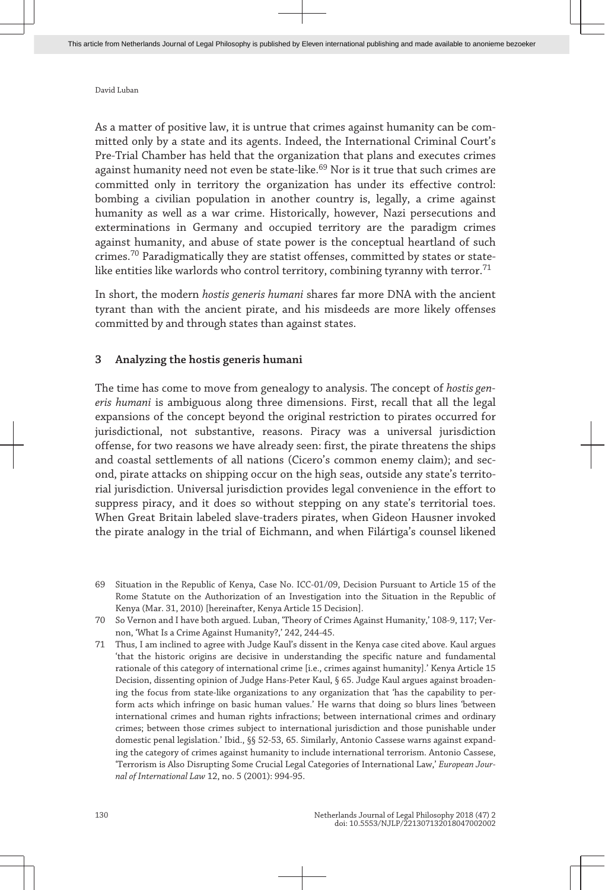As a matter of positive law, it is untrue that crimes against humanity can be committed only by a state and its agents. Indeed, the International Criminal Court's Pre-Trial Chamber has held that the organization that plans and executes crimes against humanity need not even be state-like. $69$  Nor is it true that such crimes are committed only in territory the organization has under its effective control: bombing a civilian population in another country is, legally, a crime against humanity as well as a war crime. Historically, however, Nazi persecutions and exterminations in Germany and occupied territory are the paradigm crimes against humanity, and abuse of state power is the conceptual heartland of such crimes.<sup>70</sup> Paradigmatically they are statist offenses, committed by states or statelike entities like warlords who control territory, combining tyranny with terror.<sup>71</sup>

In short, the modern *hostis generis humani* shares far more DNA with the ancient tyrant than with the ancient pirate, and his misdeeds are more likely offenses committed by and through states than against states.

### **3 Analyzing the hostis generis humani**

The time has come to move from genealogy to analysis. The concept of *hostis generis humani* is ambiguous along three dimensions. First, recall that all the legal expansions of the concept beyond the original restriction to pirates occurred for jurisdictional, not substantive, reasons. Piracy was a universal jurisdiction offense, for two reasons we have already seen: first, the pirate threatens the ships and coastal settlements of all nations (Cicero's common enemy claim); and second, pirate attacks on shipping occur on the high seas, outside any state's territorial jurisdiction. Universal jurisdiction provides legal convenience in the effort to suppress piracy, and it does so without stepping on any state's territorial toes. When Great Britain labeled slave-traders pirates, when Gideon Hausner invoked the pirate analogy in the trial of Eichmann, and when Filártiga's counsel likened

<sup>69</sup> Situation in the Republic of Kenya, Case No. ICC-01/09, Decision Pursuant to Article 15 of the Rome Statute on the Authorization of an Investigation into the Situation in the Republic of Kenya (Mar. 31, 2010) [hereinafter, Kenya Article 15 Decision].

<sup>70</sup> So Vernon and I have both argued. Luban, 'Theory of Crimes Against Humanity,' 108-9, 117; Vernon, 'What Is a Crime Against Humanity?,' 242, 244-45.

<sup>71</sup> Thus, I am inclined to agree with Judge Kaul's dissent in the Kenya case cited above. Kaul argues 'that the historic origins are decisive in understanding the specific nature and fundamental rationale of this category of international crime [i.e., crimes against humanity].' Kenya Article 15 Decision, dissenting opinion of Judge Hans-Peter Kaul, § 65. Judge Kaul argues against broadening the focus from state-like organizations to any organization that 'has the capability to perform acts which infringe on basic human values.' He warns that doing so blurs lines 'between international crimes and human rights infractions; between international crimes and ordinary crimes; between those crimes subject to international jurisdiction and those punishable under domestic penal legislation.' Ibid., §§ 52-53, 65. Similarly, Antonio Cassese warns against expanding the category of crimes against humanity to include international terrorism. Antonio Cassese, 'Terrorism is Also Disrupting Some Crucial Legal Categories of International Law,' *European Journal of International Law* 12, no. 5 (2001): 994-95.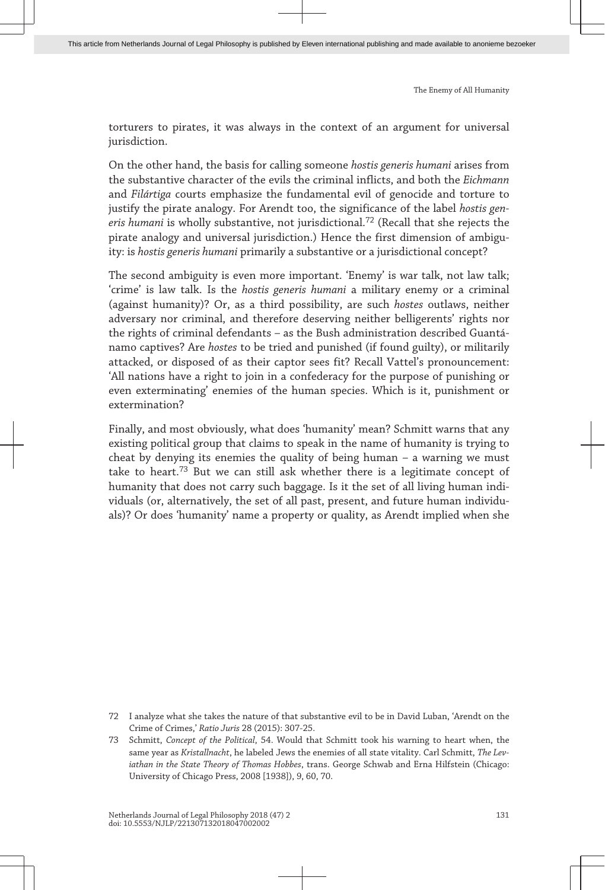torturers to pirates, it was always in the context of an argument for universal jurisdiction.

On the other hand, the basis for calling someone *hostis generis humani* arises from the substantive character of the evils the criminal inflicts, and both the *Eichmann* and *Filártiga* courts emphasize the fundamental evil of genocide and torture to justify the pirate analogy. For Arendt too, the significance of the label *hostis generis humani* is wholly substantive, not jurisdictional.<sup>72</sup> (Recall that she rejects the pirate analogy and universal jurisdiction.) Hence the first dimension of ambiguity: is *hostis generis humani* primarily a substantive or a jurisdictional concept?

The second ambiguity is even more important. 'Enemy' is war talk, not law talk; 'crime' is law talk. Is the *hostis generis humani* a military enemy or a criminal (against humanity)? Or, as a third possibility, are such *hostes* outlaws, neither adversary nor criminal, and therefore deserving neither belligerents' rights nor the rights of criminal defendants – as the Bush administration described Guantánamo captives? Are *hostes* to be tried and punished (if found guilty), or militarily attacked, or disposed of as their captor sees fit? Recall Vattel's pronouncement: 'All nations have a right to join in a confederacy for the purpose of punishing or even exterminating' enemies of the human species. Which is it, punishment or extermination?

Finally, and most obviously, what does 'humanity' mean? Schmitt warns that any existing political group that claims to speak in the name of humanity is trying to cheat by denying its enemies the quality of being human – a warning we must take to heart.<sup>73</sup> But we can still ask whether there is a legitimate concept of humanity that does not carry such baggage. Is it the set of all living human individuals (or, alternatively, the set of all past, present, and future human individuals)? Or does 'humanity' name a property or quality, as Arendt implied when she

<sup>72</sup> I analyze what she takes the nature of that substantive evil to be in David Luban, 'Arendt on the Crime of Crimes,' *Ratio Juris* 28 (2015): 307-25.

<sup>73</sup> Schmitt, *Concept of the Political*, 54. Would that Schmitt took his warning to heart when, the same year as *Kristallnacht*, he labeled Jews the enemies of all state vitality. Carl Schmitt, *The Leviathan in the State Theory of Thomas Hobbes*, trans. George Schwab and Erna Hilfstein (Chicago: University of Chicago Press, 2008 [1938]), 9, 60, 70.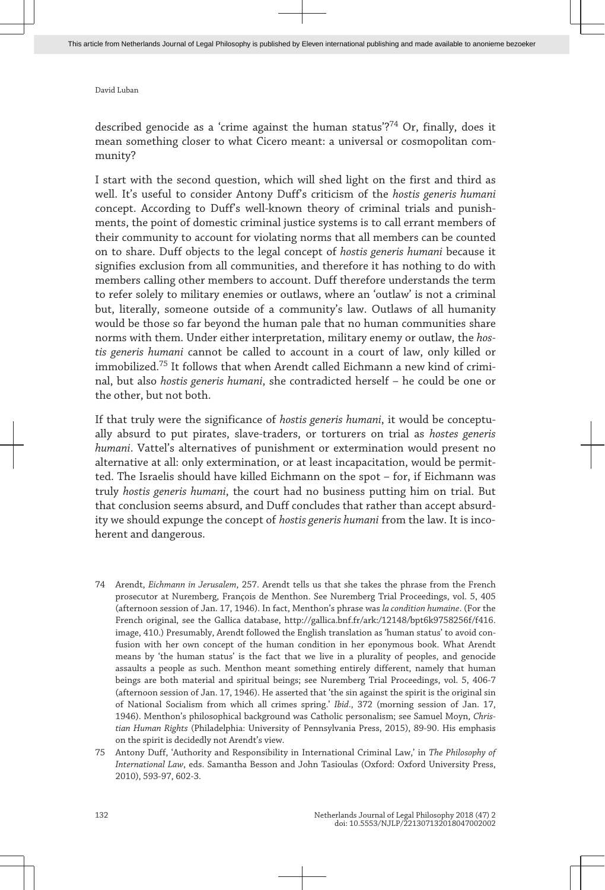described genocide as a 'crime against the human status'?<sup>74</sup> Or, finally, does it mean something closer to what Cicero meant: a universal or cosmopolitan community?

I start with the second question, which will shed light on the first and third as well. It's useful to consider Antony Duff's criticism of the *hostis generis humani* concept. According to Duff's well-known theory of criminal trials and punishments, the point of domestic criminal justice systems is to call errant members of their community to account for violating norms that all members can be counted on to share. Duff objects to the legal concept of *hostis generis humani* because it signifies exclusion from all communities, and therefore it has nothing to do with members calling other members to account. Duff therefore understands the term to refer solely to military enemies or outlaws, where an 'outlaw' is not a criminal but, literally, someone outside of a community's law. Outlaws of all humanity would be those so far beyond the human pale that no human communities share norms with them. Under either interpretation, military enemy or outlaw, the *hostis generis humani* cannot be called to account in a court of law, only killed or immobilized.<sup>75</sup> It follows that when Arendt called Eichmann a new kind of criminal, but also *hostis generis humani*, she contradicted herself – he could be one or the other, but not both.

If that truly were the significance of *hostis generis humani*, it would be conceptually absurd to put pirates, slave-traders, or torturers on trial as *hostes generis humani*. Vattel's alternatives of punishment or extermination would present no alternative at all: only extermination, or at least incapacitation, would be permitted. The Israelis should have killed Eichmann on the spot – for, if Eichmann was truly *hostis generis humani*, the court had no business putting him on trial. But that conclusion seems absurd, and Duff concludes that rather than accept absurdity we should expunge the concept of *hostis generis humani* from the law. It is incoherent and dangerous.

- 74 Arendt, *Eichmann in Jerusalem*, 257. Arendt tells us that she takes the phrase from the French prosecutor at Nuremberg, François de Menthon. See Nuremberg Trial Proceedings, vol. 5, 405 (afternoon session of Jan. 17, 1946). In fact, Menthon's phrase was *la condition humaine*. (For the French original, see the Gallica database, http://gallica.bnf.fr/ark:/12148/bpt6k9758256f/f416. [image,](http://gallica.bnf.fr/ark:/12148/bpt6k9758256f/f416.image) 410.) Presumably, Arendt followed the English translation as 'human status' to avoid confusion with her own concept of the human condition in her eponymous book. What Arendt means by 'the human status' is the fact that we live in a plurality of peoples, and genocide assaults a people as such. Menthon meant something entirely different, namely that human beings are both material and spiritual beings; see Nuremberg Trial Proceedings, vol. 5, 406-7 (afternoon session of Jan. 17, 1946). He asserted that 'the sin against the spirit is the original sin of National Socialism from which all crimes spring.' *Ibid*., 372 (morning session of Jan. 17, 1946). Menthon's philosophical background was Catholic personalism; see Samuel Moyn, *Christian Human Rights* (Philadelphia: University of Pennsylvania Press, 2015), 89-90. His emphasis on the spirit is decidedly not Arendt's view.
- 75 Antony Duff, 'Authority and Responsibility in International Criminal Law,' in *The Philosophy of International Law*, eds. Samantha Besson and John Tasioulas (Oxford: Oxford University Press, 2010), 593-97, 602-3.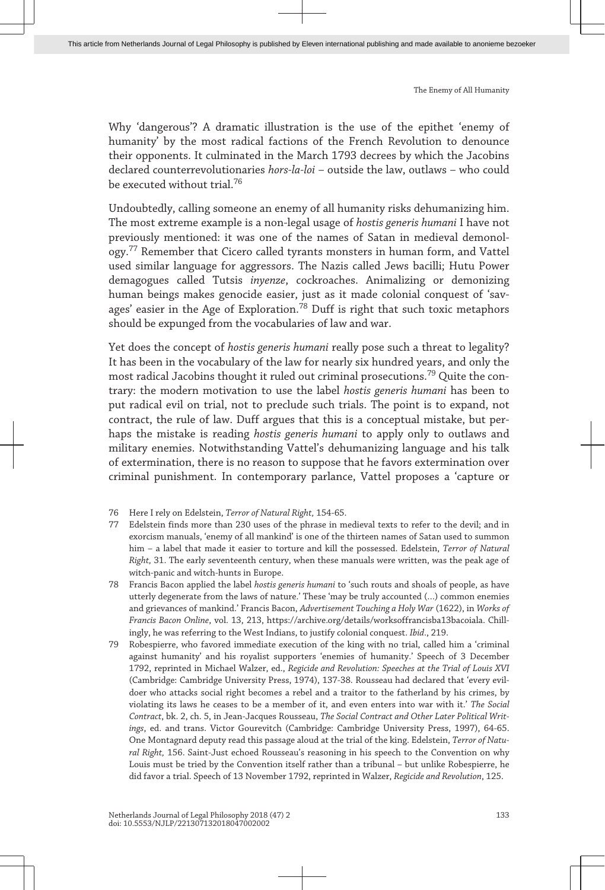Why 'dangerous'? A dramatic illustration is the use of the epithet 'enemy of humanity' by the most radical factions of the French Revolution to denounce their opponents. It culminated in the March 1793 decrees by which the Jacobins declared counterrevolutionaries *hors-la-loi* – outside the law, outlaws – who could be executed without trial.<sup>76</sup>

Undoubtedly, calling someone an enemy of all humanity risks dehumanizing him. The most extreme example is a non-legal usage of *hostis generis humani* I have not previously mentioned: it was one of the names of Satan in medieval demonology.<sup>77</sup> Remember that Cicero called tyrants monsters in human form, and Vattel used similar language for aggressors. The Nazis called Jews bacilli; Hutu Power demagogues called Tutsis *inyenze*, cockroaches. Animalizing or demonizing human beings makes genocide easier, just as it made colonial conquest of 'savages' easier in the Age of Exploration.<sup>78</sup> Duff is right that such toxic metaphors should be expunged from the vocabularies of law and war.

Yet does the concept of *hostis generis humani* really pose such a threat to legality? It has been in the vocabulary of the law for nearly six hundred years, and only the most radical Jacobins thought it ruled out criminal prosecutions.<sup>79</sup> Quite the contrary: the modern motivation to use the label *hostis generis humani* has been to put radical evil on trial, not to preclude such trials. The point is to expand, not contract, the rule of law. Duff argues that this is a conceptual mistake, but perhaps the mistake is reading *hostis generis humani* to apply only to outlaws and military enemies. Notwithstanding Vattel's dehumanizing language and his talk of extermination, there is no reason to suppose that he favors extermination over criminal punishment. In contemporary parlance, Vattel proposes a 'capture or

- 76 Here I rely on Edelstein, *Terror of Natural Right,* 154-65.
- 77 Edelstein finds more than 230 uses of the phrase in medieval texts to refer to the devil; and in exorcism manuals, 'enemy of all mankind' is one of the thirteen names of Satan used to summon him – a label that made it easier to torture and kill the possessed. Edelstein, *Terror of Natural Right,* 31. The early seventeenth century, when these manuals were written, was the peak age of witch-panic and witch-hunts in Europe.
- 78 Francis Bacon applied the label *hostis generis humani* to 'such routs and shoals of people, as have utterly degenerate from the laws of nature.' These 'may be truly accounted (…) common enemies and grievances of mankind.' Francis Bacon, *Advertisement Touching a Holy War* (1622), in *Works of Francis Bacon Online*, vol. 13, 213, [https:// archive. org/ details/ worksoffrancisba13bacoiala.](https://archive.org/details/worksoffrancisba13bacoiala) Chillingly, he was referring to the West Indians, to justify colonial conquest. *Ibid*., 219.
- 79 Robespierre, who favored immediate execution of the king with no trial, called him a 'criminal against humanity' and his royalist supporters 'enemies of humanity.' Speech of 3 December 1792, reprinted in Michael Walzer, ed., *Regicide and Revolution: Speeches at the Trial of Louis XVI* (Cambridge: Cambridge University Press, 1974), 137-38. Rousseau had declared that 'every evildoer who attacks social right becomes a rebel and a traitor to the fatherland by his crimes, by violating its laws he ceases to be a member of it, and even enters into war with it.' *The Social Contract*, bk. 2, ch. 5, in Jean-Jacques Rousseau, *The Social Contract and Other Later Political Writings*, ed. and trans. Victor Gourevitch (Cambridge: Cambridge University Press, 1997), 64-65. One Montagnard deputy read this passage aloud at the trial of the king. Edelstein, *Terror of Natural Right,* 156. Saint-Just echoed Rousseau's reasoning in his speech to the Convention on why Louis must be tried by the Convention itself rather than a tribunal – but unlike Robespierre, he did favor a trial. Speech of 13 November 1792, reprinted in Walzer, *Regicide and Revolution*, 125.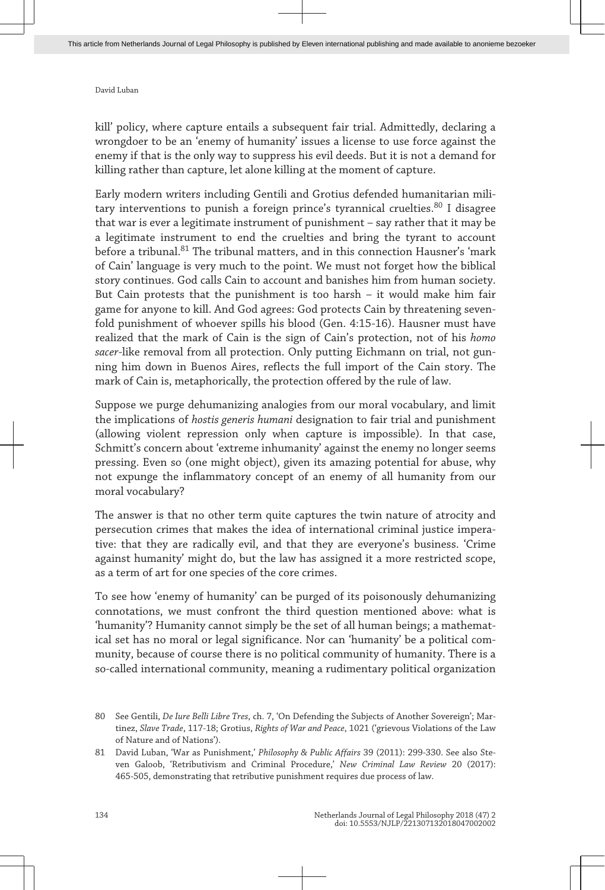kill' policy, where capture entails a subsequent fair trial. Admittedly, declaring a wrongdoer to be an 'enemy of humanity' issues a license to use force against the enemy if that is the only way to suppress his evil deeds. But it is not a demand for killing rather than capture, let alone killing at the moment of capture.

Early modern writers including Gentili and Grotius defended humanitarian military interventions to punish a foreign prince's tyrannical cruelties.<sup>80</sup> I disagree that war is ever a legitimate instrument of punishment – say rather that it may be a legitimate instrument to end the cruelties and bring the tyrant to account before a tribunal.<sup>81</sup> The tribunal matters, and in this connection Hausner's 'mark of Cain' language is very much to the point. We must not forget how the biblical story continues. God calls Cain to account and banishes him from human society. But Cain protests that the punishment is too harsh – it would make him fair game for anyone to kill. And God agrees: God protects Cain by threatening sevenfold punishment of whoever spills his blood (Gen. 4:15-16). Hausner must have realized that the mark of Cain is the sign of Cain's protection, not of his *homo sacer*-like removal from all protection. Only putting Eichmann on trial, not gunning him down in Buenos Aires, reflects the full import of the Cain story. The mark of Cain is, metaphorically, the protection offered by the rule of law.

Suppose we purge dehumanizing analogies from our moral vocabulary, and limit the implications of *hostis generis humani* designation to fair trial and punishment (allowing violent repression only when capture is impossible). In that case, Schmitt's concern about 'extreme inhumanity' against the enemy no longer seems pressing. Even so (one might object), given its amazing potential for abuse, why not expunge the inflammatory concept of an enemy of all humanity from our moral vocabulary?

The answer is that no other term quite captures the twin nature of atrocity and persecution crimes that makes the idea of international criminal justice imperative: that they are radically evil, and that they are everyone's business. 'Crime against humanity' might do, but the law has assigned it a more restricted scope, as a term of art for one species of the core crimes.

To see how 'enemy of humanity' can be purged of its poisonously dehumanizing connotations, we must confront the third question mentioned above: what is 'humanity'? Humanity cannot simply be the set of all human beings; a mathematical set has no moral or legal significance. Nor can 'humanity' be a political community, because of course there is no political community of humanity. There is a so-called international community, meaning a rudimentary political organization

<sup>80</sup> See Gentili, *De Iure Belli Libre Tres*, ch. 7, 'On Defending the Subjects of Another Sovereign'; Martinez, *Slave Trade*, 117-18; Grotius, *Rights of War and Peace*, 1021 ('grievous Violations of the Law of Nature and of Nations').

<sup>81</sup> David Luban, 'War as Punishment,' *Philosophy & Public Affairs* 39 (2011): 299-330. See also Steven Galoob, 'Retributivism and Criminal Procedure,' *New Criminal Law Review* 20 (2017): 465-505, demonstrating that retributive punishment requires due process of law.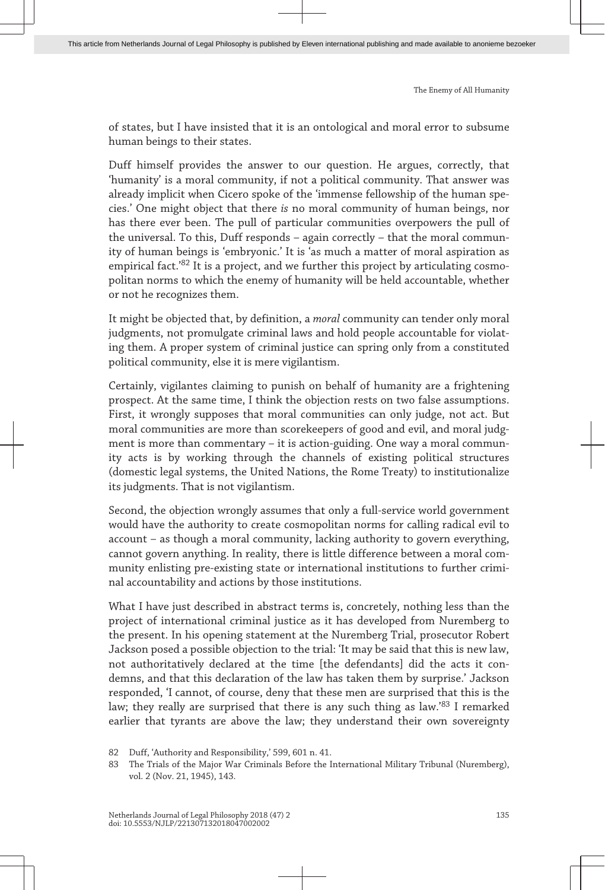of states, but I have insisted that it is an ontological and moral error to subsume human beings to their states.

Duff himself provides the answer to our question. He argues, correctly, that 'humanity' is a moral community, if not a political community. That answer was already implicit when Cicero spoke of the 'immense fellowship of the human species.' One might object that there *is* no moral community of human beings, nor has there ever been. The pull of particular communities overpowers the pull of the universal. To this, Duff responds – again correctly – that the moral community of human beings is 'embryonic.' It is 'as much a matter of moral aspiration as empirical fact.<sup>'82</sup> It is a project, and we further this project by articulating cosmopolitan norms to which the enemy of humanity will be held accountable, whether or not he recognizes them.

It might be objected that, by definition, a *moral* community can tender only moral judgments, not promulgate criminal laws and hold people accountable for violating them. A proper system of criminal justice can spring only from a constituted political community, else it is mere vigilantism.

Certainly, vigilantes claiming to punish on behalf of humanity are a frightening prospect. At the same time, I think the objection rests on two false assumptions. First, it wrongly supposes that moral communities can only judge, not act. But moral communities are more than scorekeepers of good and evil, and moral judgment is more than commentary – it is action-guiding. One way a moral community acts is by working through the channels of existing political structures (domestic legal systems, the United Nations, the Rome Treaty) to institutionalize its judgments. That is not vigilantism.

Second, the objection wrongly assumes that only a full-service world government would have the authority to create cosmopolitan norms for calling radical evil to account – as though a moral community, lacking authority to govern everything, cannot govern anything. In reality, there is little difference between a moral community enlisting pre-existing state or international institutions to further criminal accountability and actions by those institutions.

What I have just described in abstract terms is, concretely, nothing less than the project of international criminal justice as it has developed from Nuremberg to the present. In his opening statement at the Nuremberg Trial, prosecutor Robert Jackson posed a possible objection to the trial: 'It may be said that this is new law, not authoritatively declared at the time [the defendants] did the acts it condemns, and that this declaration of the law has taken them by surprise.' Jackson responded, 'I cannot, of course, deny that these men are surprised that this is the law; they really are surprised that there is any such thing as law.'<sup>83</sup> I remarked earlier that tyrants are above the law; they understand their own sovereignty

<sup>82</sup> Duff, 'Authority and Responsibility,' 599, 601 n. 41.

<sup>83</sup> The Trials of the Major War Criminals Before the International Military Tribunal (Nuremberg), vol. 2 (Nov. 21, 1945), 143.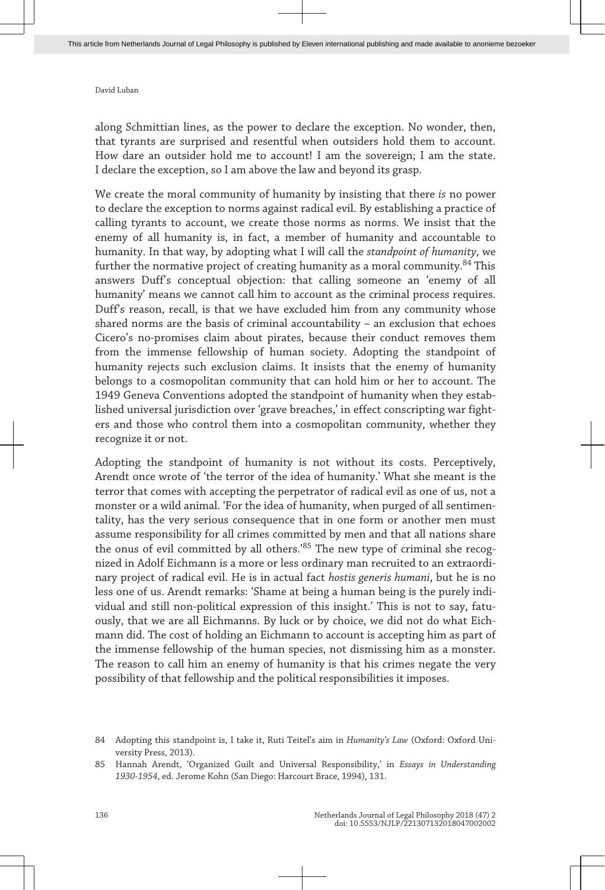along Schmittian lines, as the power to declare the exception. No wonder, then, that tyrants are surprised and resentful when outsiders hold them to account. How dare an outsider hold me to account! I am the sovereign; I am the state. I declare the exception, so I am above the law and beyond its grasp.

We create the moral community of humanity by insisting that there *is* no power to declare the exception to norms against radical evil. By establishing a practice of calling tyrants to account, we create those norms as norms. We insist that the enemy of all humanity is, in fact, a member of humanity and accountable to humanity. In that way, by adopting what I will call the *standpoint of humanity*, we further the normative project of creating humanity as a moral community.<sup>84</sup> This answers Duff's conceptual objection: that calling someone an 'enemy of all humanity' means we cannot call him to account as the criminal process requires. Duff's reason, recall, is that we have excluded him from any community whose shared norms are the basis of criminal accountability – an exclusion that echoes Cicero's no-promises claim about pirates, because their conduct removes them from the immense fellowship of human society. Adopting the standpoint of humanity rejects such exclusion claims. It insists that the enemy of humanity belongs to a cosmopolitan community that can hold him or her to account. The 1949 Geneva Conventions adopted the standpoint of humanity when they established universal jurisdiction over 'grave breaches,' in effect conscripting war fighters and those who control them into a cosmopolitan community, whether they recognize it or not.

Adopting the standpoint of humanity is not without its costs. Perceptively, Arendt once wrote of 'the terror of the idea of humanity.' What she meant is the terror that comes with accepting the perpetrator of radical evil as one of us, not a monster or a wild animal. 'For the idea of humanity, when purged of all sentimentality, has the very serious consequence that in one form or another men must assume responsibility for all crimes committed by men and that all nations share the onus of evil committed by all others.'85 The new type of criminal she recognized in Adolf Eichmann is a more or less ordinary man recruited to an extraordinary project of radical evil. He is in actual fact *hostis generis humani*, but he is no less one of us. Arendt remarks: 'Shame at being a human being is the purely individual and still non-political expression of this insight.' This is not to say, fatuously, that we are all Eichmanns. By luck or by choice, we did not do what Eichmann did. The cost of holding an Eichmann to account is accepting him as part of the immense fellowship of the human species, not dismissing him as a monster. The reason to call him an enemy of humanity is that his crimes negate the very possibility of that fellowship and the political responsibilities it imposes.

<sup>84</sup> Adopting this standpoint is, I take it, Ruti Teitel's aim in *Humanity's Law* (Oxford: Oxford University Press, 2013).

<sup>85</sup> Hannah Arendt, 'Organized Guilt and Universal Responsibility,' in *Essays in Understanding 1930-1954*, ed. Jerome Kohn (San Diego: Harcourt Brace, 1994), 131.